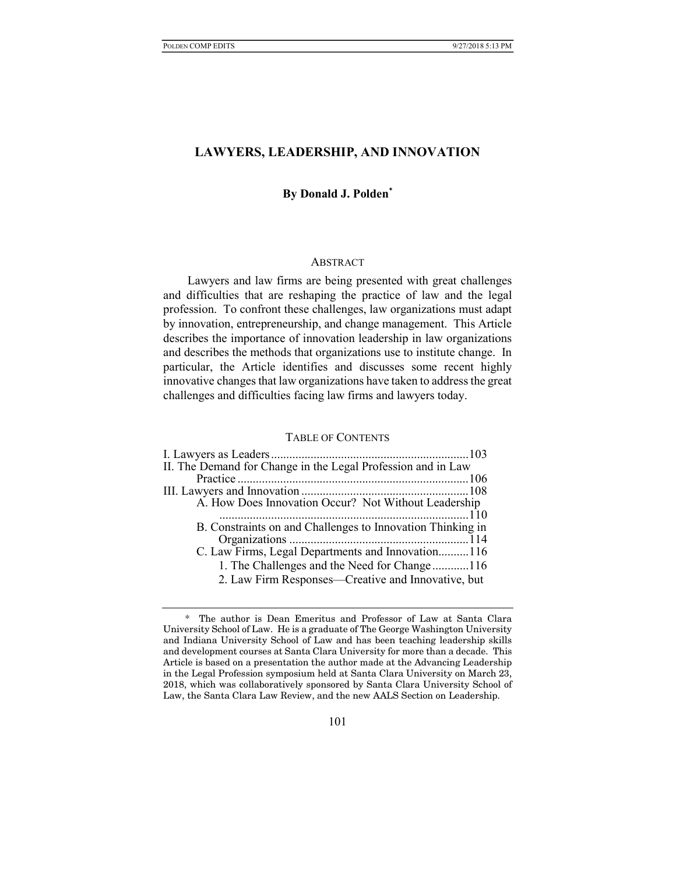## LAWYERS, LEADERSHIP, AND INNOVATION

## By Donald J. Polden\*

#### ABSTRACT

Lawyers and law firms are being presented with great challenges and difficulties that are reshaping the practice of law and the legal profession. To confront these challenges, law organizations must adapt by innovation, entrepreneurship, and change management. This Article describes the importance of innovation leadership in law organizations and describes the methods that organizations use to institute change. In particular, the Article identifies and discusses some recent highly innovative changes that law organizations have taken to address the great challenges and difficulties facing law firms and lawyers today.

### TABLE OF CONTENTS

| II. The Demand for Change in the Legal Profession and in Law |
|--------------------------------------------------------------|
|                                                              |
|                                                              |
| A. How Does Innovation Occur? Not Without Leadership         |
|                                                              |
| B. Constraints on and Challenges to Innovation Thinking in   |
|                                                              |
| C. Law Firms, Legal Departments and Innovation116            |
| 1. The Challenges and the Need for Change116                 |
| 2. Law Firm Responses—Creative and Innovative, but           |
|                                                              |

<sup>\*</sup> The author is Dean Emeritus and Professor of Law at Santa Clara University School of Law. He is a graduate of The George Washington University and Indiana University School of Law and has been teaching leadership skills and development courses at Santa Clara University for more than a decade. This Article is based on a presentation the author made at the Advancing Leadership in the Legal Profession symposium held at Santa Clara University on March 23, 2018, which was collaboratively sponsored by Santa Clara University School of Law, the Santa Clara Law Review, and the new AALS Section on Leadership.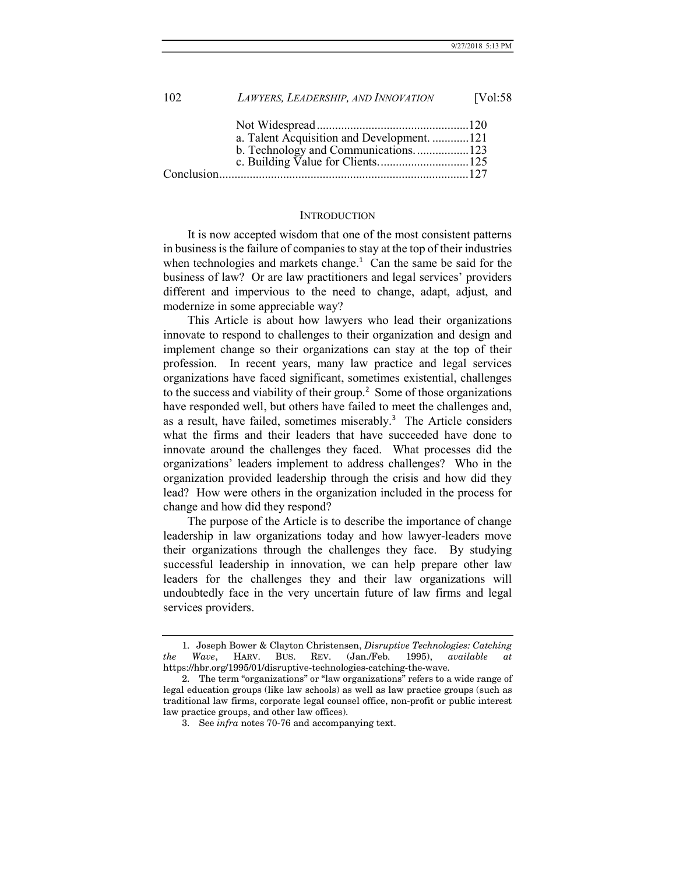|            | LAWYERS, LEADERSHIP, AND INNOVATION        | [Vol:58] |
|------------|--------------------------------------------|----------|
|            |                                            |          |
|            | a. Talent Acquisition and Development. 121 |          |
|            | b. Technology and Communications123        |          |
|            |                                            |          |
| Conclusion |                                            |          |

#### **INTRODUCTION**

It is now accepted wisdom that one of the most consistent patterns in business is the failure of companies to stay at the top of their industries when technologies and markets change. $1$  Can the same be said for the business of law? Or are law practitioners and legal services' providers different and impervious to the need to change, adapt, adjust, and modernize in some appreciable way?

This Article is about how lawyers who lead their organizations innovate to respond to challenges to their organization and design and implement change so their organizations can stay at the top of their profession. In recent years, many law practice and legal services organizations have faced significant, sometimes existential, challenges to the success and viability of their group.<sup>2</sup> Some of those organizations have responded well, but others have failed to meet the challenges and, as a result, have failed, sometimes miserably.<sup>3</sup> The Article considers what the firms and their leaders that have succeeded have done to innovate around the challenges they faced. What processes did the organizations' leaders implement to address challenges? Who in the organization provided leadership through the crisis and how did they lead? How were others in the organization included in the process for change and how did they respond?

The purpose of the Article is to describe the importance of change leadership in law organizations today and how lawyer-leaders move their organizations through the challenges they face. By studying successful leadership in innovation, we can help prepare other law leaders for the challenges they and their law organizations will undoubtedly face in the very uncertain future of law firms and legal services providers.

 <sup>1.</sup> Joseph Bower & Clayton Christensen, Disruptive Technologies: Catching the Wave, HARV. BUS. REV. (Jan./Feb. 1995), available at https://hbr.org/1995/01/disruptive-technologies-catching-the-wave.

 <sup>2.</sup> The term "organizations" or "law organizations" refers to a wide range of legal education groups (like law schools) as well as law practice groups (such as traditional law firms, corporate legal counsel office, non-profit or public interest law practice groups, and other law offices).

 <sup>3.</sup> See infra notes 70-76 and accompanying text.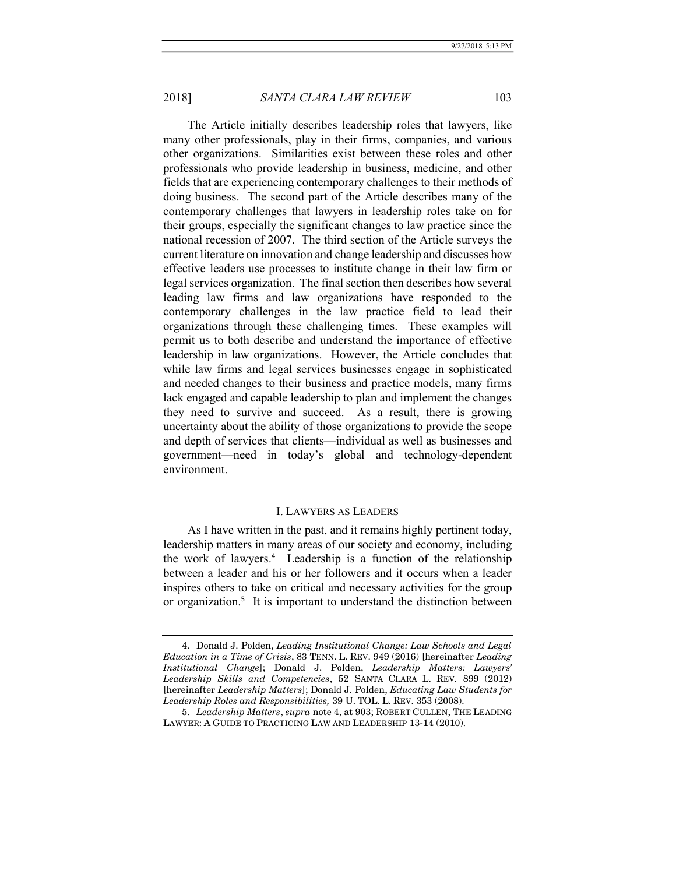The Article initially describes leadership roles that lawyers, like many other professionals, play in their firms, companies, and various other organizations. Similarities exist between these roles and other professionals who provide leadership in business, medicine, and other fields that are experiencing contemporary challenges to their methods of doing business. The second part of the Article describes many of the contemporary challenges that lawyers in leadership roles take on for their groups, especially the significant changes to law practice since the national recession of 2007. The third section of the Article surveys the current literature on innovation and change leadership and discusses how effective leaders use processes to institute change in their law firm or legal services organization. The final section then describes how several leading law firms and law organizations have responded to the contemporary challenges in the law practice field to lead their organizations through these challenging times. These examples will permit us to both describe and understand the importance of effective leadership in law organizations. However, the Article concludes that while law firms and legal services businesses engage in sophisticated and needed changes to their business and practice models, many firms lack engaged and capable leadership to plan and implement the changes they need to survive and succeed. As a result, there is growing uncertainty about the ability of those organizations to provide the scope and depth of services that clients—individual as well as businesses and government—need in today's global and technology-dependent environment.

#### I. LAWYERS AS LEADERS

As I have written in the past, and it remains highly pertinent today, leadership matters in many areas of our society and economy, including the work of lawyers.<sup>4</sup> Leadership is a function of the relationship between a leader and his or her followers and it occurs when a leader inspires others to take on critical and necessary activities for the group or organization.<sup>5</sup> It is important to understand the distinction between

 <sup>4.</sup> Donald J. Polden, Leading Institutional Change: Law Schools and Legal Education in a Time of Crisis, 83 TENN. L. REV. 949 (2016) [hereinafter Leading Institutional Change]; Donald J. Polden, Leadership Matters: Lawyers' Leadership Skills and Competencies, 52 SANTA CLARA L. REV. 899 (2012) [hereinafter Leadership Matters]; Donald J. Polden, Educating Law Students for Leadership Roles and Responsibilities, 39 U. TOL. L. REV. 353 (2008).

 <sup>5.</sup> Leadership Matters, supra note 4, at 903; ROBERT CULLEN, THE LEADING LAWYER: A GUIDE TO PRACTICING LAW AND LEADERSHIP 13-14 (2010).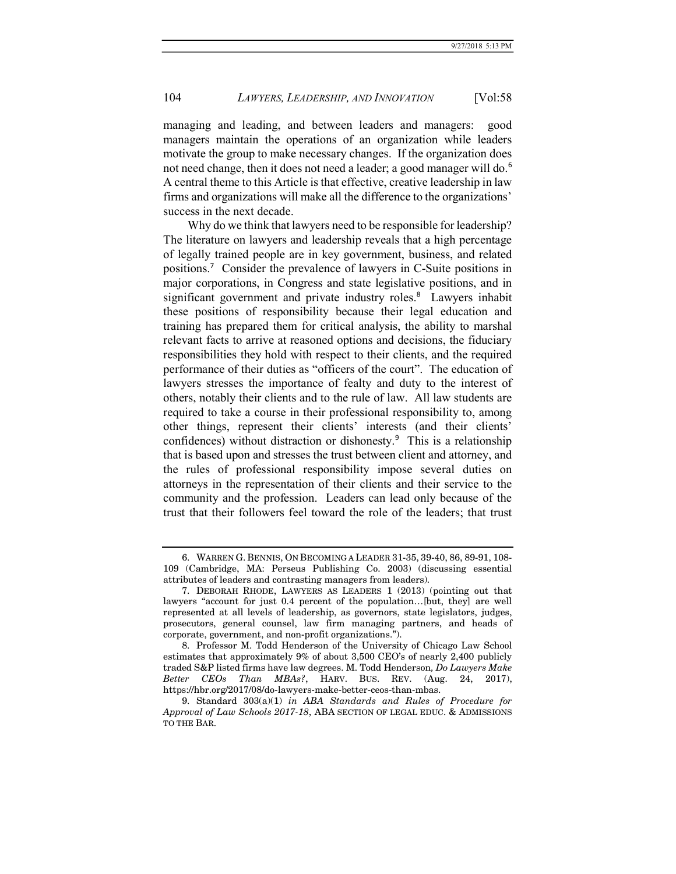managing and leading, and between leaders and managers: good managers maintain the operations of an organization while leaders motivate the group to make necessary changes. If the organization does not need change, then it does not need a leader; a good manager will do.<sup>6</sup> A central theme to this Article is that effective, creative leadership in law firms and organizations will make all the difference to the organizations' success in the next decade.

Why do we think that lawyers need to be responsible for leadership? The literature on lawyers and leadership reveals that a high percentage of legally trained people are in key government, business, and related positions.<sup>7</sup> Consider the prevalence of lawyers in C-Suite positions in major corporations, in Congress and state legislative positions, and in significant government and private industry roles.<sup>8</sup> Lawyers inhabit these positions of responsibility because their legal education and training has prepared them for critical analysis, the ability to marshal relevant facts to arrive at reasoned options and decisions, the fiduciary responsibilities they hold with respect to their clients, and the required performance of their duties as "officers of the court". The education of lawyers stresses the importance of fealty and duty to the interest of others, notably their clients and to the rule of law. All law students are required to take a course in their professional responsibility to, among other things, represent their clients' interests (and their clients' confidences) without distraction or dishonesty.<sup>9</sup> This is a relationship that is based upon and stresses the trust between client and attorney, and the rules of professional responsibility impose several duties on attorneys in the representation of their clients and their service to the community and the profession. Leaders can lead only because of the trust that their followers feel toward the role of the leaders; that trust

 <sup>6.</sup> WARREN G. BENNIS, ON BECOMING A LEADER 31-35, 39-40, 86, 89-91, 108- 109 (Cambridge, MA: Perseus Publishing Co. 2003) (discussing essential attributes of leaders and contrasting managers from leaders).

 <sup>7.</sup> DEBORAH RHODE, LAWYERS AS LEADERS 1 (2013) (pointing out that lawyers "account for just 0.4 percent of the population…[but, they] are well represented at all levels of leadership, as governors, state legislators, judges, prosecutors, general counsel, law firm managing partners, and heads of corporate, government, and non-profit organizations.").

 <sup>8.</sup> Professor M. Todd Henderson of the University of Chicago Law School estimates that approximately 9% of about 3,500 CEO's of nearly 2,400 publicly traded S&P listed firms have law degrees. M. Todd Henderson, Do Lawyers Make Better CEOs Than MBAs?, HARV. BUS. REV. (Aug. 24, 2017), https://hbr.org/2017/08/do-lawyers-make-better-ceos-than-mbas.

 <sup>9.</sup> Standard 303(a)(1) in ABA Standards and Rules of Procedure for Approval of Law Schools 2017-18, ABA SECTION OF LEGAL EDUC. & ADMISSIONS TO THE BAR.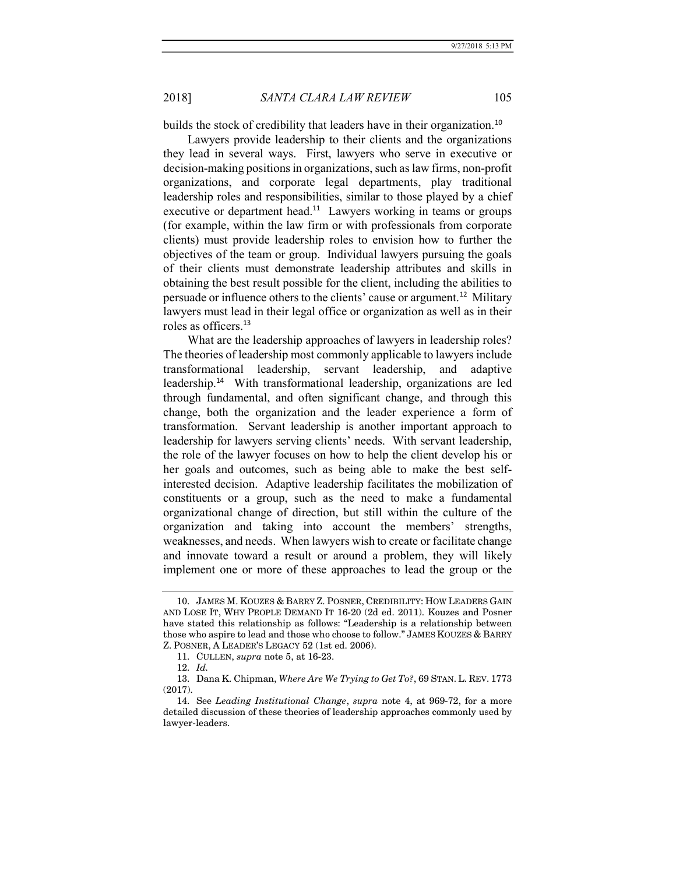builds the stock of credibility that leaders have in their organization.<sup>10</sup>

Lawyers provide leadership to their clients and the organizations they lead in several ways. First, lawyers who serve in executive or decision-making positions in organizations, such as law firms, non-profit organizations, and corporate legal departments, play traditional leadership roles and responsibilities, similar to those played by a chief executive or department head.<sup>11</sup> Lawyers working in teams or groups (for example, within the law firm or with professionals from corporate clients) must provide leadership roles to envision how to further the objectives of the team or group. Individual lawyers pursuing the goals of their clients must demonstrate leadership attributes and skills in obtaining the best result possible for the client, including the abilities to persuade or influence others to the clients' cause or argument.<sup>12</sup> Military lawyers must lead in their legal office or organization as well as in their roles as officers.<sup>13</sup>

What are the leadership approaches of lawyers in leadership roles? The theories of leadership most commonly applicable to lawyers include transformational leadership, servant leadership, and adaptive leadership.<sup>14</sup> With transformational leadership, organizations are led through fundamental, and often significant change, and through this change, both the organization and the leader experience a form of transformation. Servant leadership is another important approach to leadership for lawyers serving clients' needs. With servant leadership, the role of the lawyer focuses on how to help the client develop his or her goals and outcomes, such as being able to make the best selfinterested decision. Adaptive leadership facilitates the mobilization of constituents or a group, such as the need to make a fundamental organizational change of direction, but still within the culture of the organization and taking into account the members' strengths, weaknesses, and needs. When lawyers wish to create or facilitate change and innovate toward a result or around a problem, they will likely implement one or more of these approaches to lead the group or the

 <sup>10.</sup> JAMES M. KOUZES & BARRY Z. POSNER, CREDIBILITY: HOW LEADERS GAIN AND LOSE IT, WHY PEOPLE DEMAND IT 16-20 (2d ed. 2011). Kouzes and Posner have stated this relationship as follows: "Leadership is a relationship between those who aspire to lead and those who choose to follow." JAMES KOUZES & BARRY Z. POSNER, A LEADER'S LEGACY 52 (1st ed. 2006).

 <sup>11.</sup> CULLEN, supra note 5, at 16-23.

 <sup>12.</sup> Id.

 <sup>13.</sup> Dana K. Chipman, Where Are We Trying to Get To?, 69 STAN. L. REV. 1773 (2017).

 <sup>14.</sup> See Leading Institutional Change, supra note 4, at 969-72, for a more detailed discussion of these theories of leadership approaches commonly used by lawyer-leaders.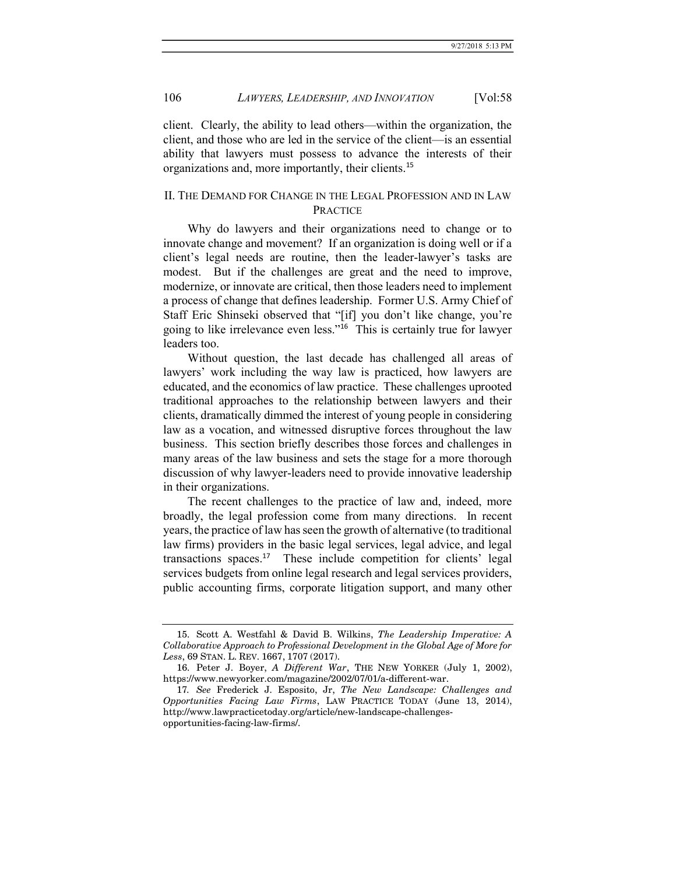client. Clearly, the ability to lead others—within the organization, the client, and those who are led in the service of the client—is an essential ability that lawyers must possess to advance the interests of their organizations and, more importantly, their clients.<sup>15</sup>

# II. THE DEMAND FOR CHANGE IN THE LEGAL PROFESSION AND IN LAW PRACTICE

Why do lawyers and their organizations need to change or to innovate change and movement? If an organization is doing well or if a client's legal needs are routine, then the leader-lawyer's tasks are modest. But if the challenges are great and the need to improve, modernize, or innovate are critical, then those leaders need to implement a process of change that defines leadership. Former U.S. Army Chief of Staff Eric Shinseki observed that "[if] you don't like change, you're going to like irrelevance even less."<sup>16</sup> This is certainly true for lawyer leaders too.

Without question, the last decade has challenged all areas of lawyers' work including the way law is practiced, how lawyers are educated, and the economics of law practice. These challenges uprooted traditional approaches to the relationship between lawyers and their clients, dramatically dimmed the interest of young people in considering law as a vocation, and witnessed disruptive forces throughout the law business. This section briefly describes those forces and challenges in many areas of the law business and sets the stage for a more thorough discussion of why lawyer-leaders need to provide innovative leadership in their organizations.

The recent challenges to the practice of law and, indeed, more broadly, the legal profession come from many directions. In recent years, the practice of law has seen the growth of alternative (to traditional law firms) providers in the basic legal services, legal advice, and legal transactions spaces.<sup>17</sup> These include competition for clients' legal services budgets from online legal research and legal services providers, public accounting firms, corporate litigation support, and many other

 <sup>15.</sup> Scott A. Westfahl & David B. Wilkins, The Leadership Imperative: A Collaborative Approach to Professional Development in the Global Age of More for Less, 69 STAN. L. REV. 1667, 1707 (2017).

 <sup>16.</sup> Peter J. Boyer, A Different War, THE NEW YORKER (July 1, 2002), https://www.newyorker.com/magazine/2002/07/01/a-different-war.

<sup>17</sup>. See Frederick J. Esposito, Jr, The New Landscape: Challenges and Opportunities Facing Law Firms, LAW PRACTICE TODAY (June 13, 2014), http://www.lawpracticetoday.org/article/new-landscape-challengesopportunities-facing-law-firms/.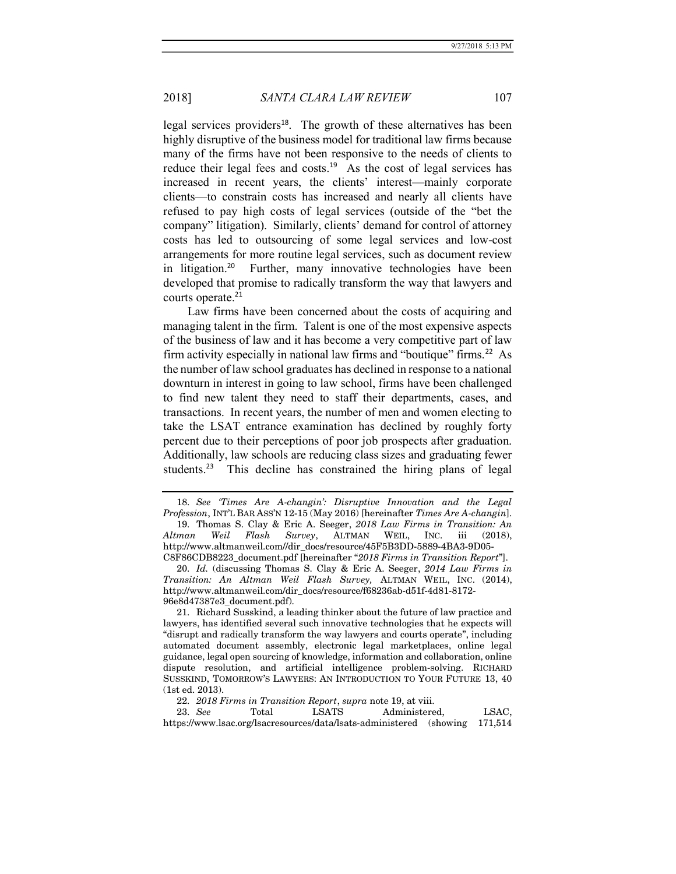legal services providers<sup>18</sup>. The growth of these alternatives has been highly disruptive of the business model for traditional law firms because many of the firms have not been responsive to the needs of clients to reduce their legal fees and costs.<sup>19</sup> As the cost of legal services has increased in recent years, the clients' interest—mainly corporate clients—to constrain costs has increased and nearly all clients have refused to pay high costs of legal services (outside of the "bet the company" litigation). Similarly, clients' demand for control of attorney costs has led to outsourcing of some legal services and low-cost arrangements for more routine legal services, such as document review in litigation.<sup>20</sup> Further, many innovative technologies have been developed that promise to radically transform the way that lawyers and courts operate.<sup>21</sup>

Law firms have been concerned about the costs of acquiring and managing talent in the firm. Talent is one of the most expensive aspects of the business of law and it has become a very competitive part of law firm activity especially in national law firms and "boutique" firms.<sup>22</sup> As the number of law school graduates has declined in response to a national downturn in interest in going to law school, firms have been challenged to find new talent they need to staff their departments, cases, and transactions. In recent years, the number of men and women electing to take the LSAT entrance examination has declined by roughly forty percent due to their perceptions of poor job prospects after graduation. Additionally, law schools are reducing class sizes and graduating fewer students.<sup>23</sup> This decline has constrained the hiring plans of legal

 18. See 'Times Are A-changin': Disruptive Innovation and the Legal Profession, INT'L BAR ASS'N 12-15 (May 2016) [hereinafter Times Are A-changin]. 19. Thomas S. Clay & Eric A. Seeger, 2018 Law Firms in Transition: An

Altman Weil Flash Survey, ALTMAN WEIL, INC. iii (2018), http://www.altmanweil.com//dir\_docs/resource/45F5B3DD-5889-4BA3-9D05- C8F86CDB8223\_document.pdf [hereinafter "2018 Firms in Transition Report"].

 20. Id. (discussing Thomas S. Clay & Eric A. Seeger, 2014 Law Firms in Transition: An Altman Weil Flash Survey, ALTMAN WEIL, INC. (2014), http://www.altmanweil.com/dir\_docs/resource/f68236ab-d51f-4d81-8172- 96e8d47387e3\_document.pdf).

 21. Richard Susskind, a leading thinker about the future of law practice and lawyers, has identified several such innovative technologies that he expects will "disrupt and radically transform the way lawyers and courts operate", including automated document assembly, electronic legal marketplaces, online legal guidance, legal open sourcing of knowledge, information and collaboration, online dispute resolution, and artificial intelligence problem-solving. RICHARD SUSSKIND, TOMORROW'S LAWYERS: AN INTRODUCTION TO YOUR FUTURE 13, 40 (1st ed. 2013).

 <sup>22.</sup> 2018 Firms in Transition Report, supra note 19, at viii.

 <sup>23.</sup> See Total LSATS Administered, LSAC, https://www.lsac.org/lsacresources/data/lsats-administered (showing 171,514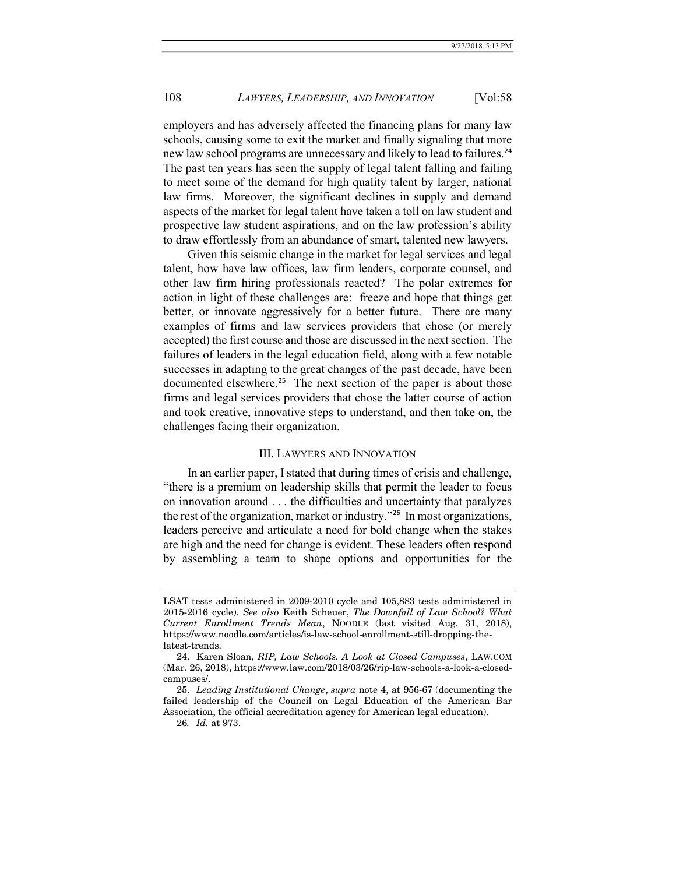employers and has adversely affected the financing plans for many law schools, causing some to exit the market and finally signaling that more new law school programs are unnecessary and likely to lead to failures.<sup>24</sup> The past ten years has seen the supply of legal talent falling and failing to meet some of the demand for high quality talent by larger, national law firms. Moreover, the significant declines in supply and demand aspects of the market for legal talent have taken a toll on law student and prospective law student aspirations, and on the law profession's ability to draw effortlessly from an abundance of smart, talented new lawyers.

Given this seismic change in the market for legal services and legal talent, how have law offices, law firm leaders, corporate counsel, and other law firm hiring professionals reacted? The polar extremes for action in light of these challenges are: freeze and hope that things get better, or innovate aggressively for a better future. There are many examples of firms and law services providers that chose (or merely accepted) the first course and those are discussed in the next section. The failures of leaders in the legal education field, along with a few notable successes in adapting to the great changes of the past decade, have been documented elsewhere.<sup>25</sup> The next section of the paper is about those firms and legal services providers that chose the latter course of action and took creative, innovative steps to understand, and then take on, the challenges facing their organization.

### III. LAWYERS AND INNOVATION

In an earlier paper, I stated that during times of crisis and challenge, "there is a premium on leadership skills that permit the leader to focus on innovation around . . . the difficulties and uncertainty that paralyzes the rest of the organization, market or industry."<sup>26</sup> In most organizations, leaders perceive and articulate a need for bold change when the stakes are high and the need for change is evident. These leaders often respond by assembling a team to shape options and opportunities for the

LSAT tests administered in 2009-2010 cycle and 105,883 tests administered in 2015-2016 cycle). See also Keith Scheuer, The Downfall of Law School? What Current Enrollment Trends Mean, NOODLE (last visited Aug. 31, 2018), https://www.noodle.com/articles/is-law-school-enrollment-still-dropping-thelatest-trends.

 <sup>24.</sup> Karen Sloan, RIP, Law Schools. A Look at Closed Campuses, LAW.COM (Mar. 26, 2018), https://www.law.com/2018/03/26/rip-law-schools-a-look-a-closedcampuses/.

 <sup>25.</sup> Leading Institutional Change, supra note 4, at 956-67 (documenting the failed leadership of the Council on Legal Education of the American Bar Association, the official accreditation agency for American legal education).

<sup>26</sup>. Id. at 973.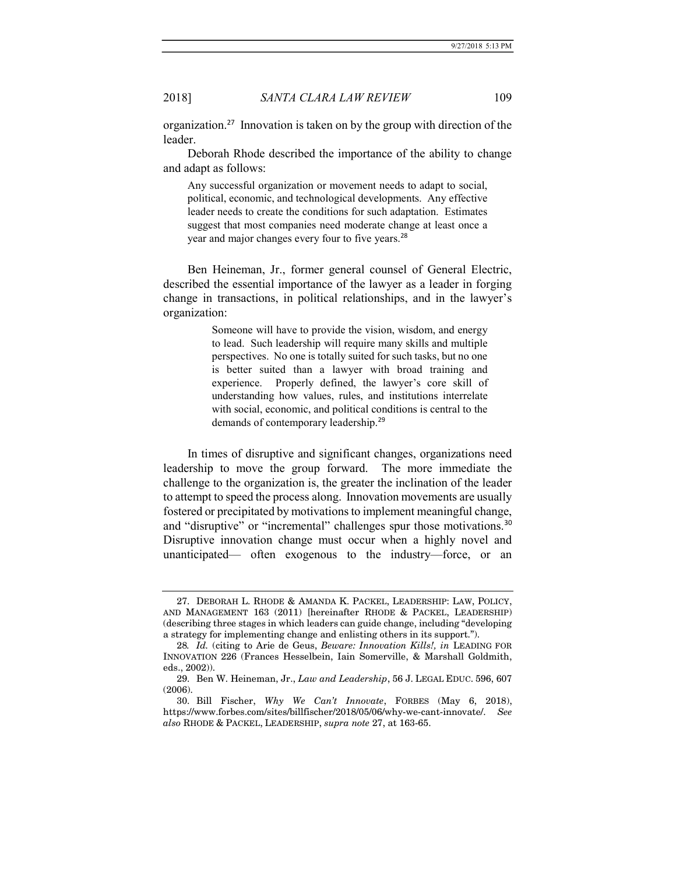organization.<sup>27</sup> Innovation is taken on by the group with direction of the leader.

Deborah Rhode described the importance of the ability to change and adapt as follows:

Any successful organization or movement needs to adapt to social, political, economic, and technological developments. Any effective leader needs to create the conditions for such adaptation. Estimates suggest that most companies need moderate change at least once a year and major changes every four to five years.<sup>28</sup>

Ben Heineman, Jr., former general counsel of General Electric, described the essential importance of the lawyer as a leader in forging change in transactions, in political relationships, and in the lawyer's organization:

> Someone will have to provide the vision, wisdom, and energy to lead. Such leadership will require many skills and multiple perspectives. No one is totally suited for such tasks, but no one is better suited than a lawyer with broad training and experience. Properly defined, the lawyer's core skill of understanding how values, rules, and institutions interrelate with social, economic, and political conditions is central to the demands of contemporary leadership.<sup>29</sup>

In times of disruptive and significant changes, organizations need leadership to move the group forward. The more immediate the challenge to the organization is, the greater the inclination of the leader to attempt to speed the process along. Innovation movements are usually fostered or precipitated by motivations to implement meaningful change, and "disruptive" or "incremental" challenges spur those motivations.<sup>30</sup> Disruptive innovation change must occur when a highly novel and unanticipated— often exogenous to the industry—force, or an

 <sup>27.</sup> DEBORAH L. RHODE & AMANDA K. PACKEL, LEADERSHIP: LAW, POLICY, AND MANAGEMENT 163 (2011) [hereinafter RHODE & PACKEL, LEADERSHIP) (describing three stages in which leaders can guide change, including "developing a strategy for implementing change and enlisting others in its support.").

<sup>28</sup>. Id. (citing to Arie de Geus, Beware: Innovation Kills!, in LEADING FOR INNOVATION 226 (Frances Hesselbein, Iain Somerville, & Marshall Goldmith, eds., 2002)).

 <sup>29.</sup> Ben W. Heineman, Jr., Law and Leadership, 56 J. LEGAL EDUC. 596, 607 (2006).

 <sup>30.</sup> Bill Fischer, Why We Can't Innovate, FORBES (May 6, 2018), https://www.forbes.com/sites/billfischer/2018/05/06/why-we-cant-innovate/. See also RHODE & PACKEL, LEADERSHIP, supra note 27, at 163-65.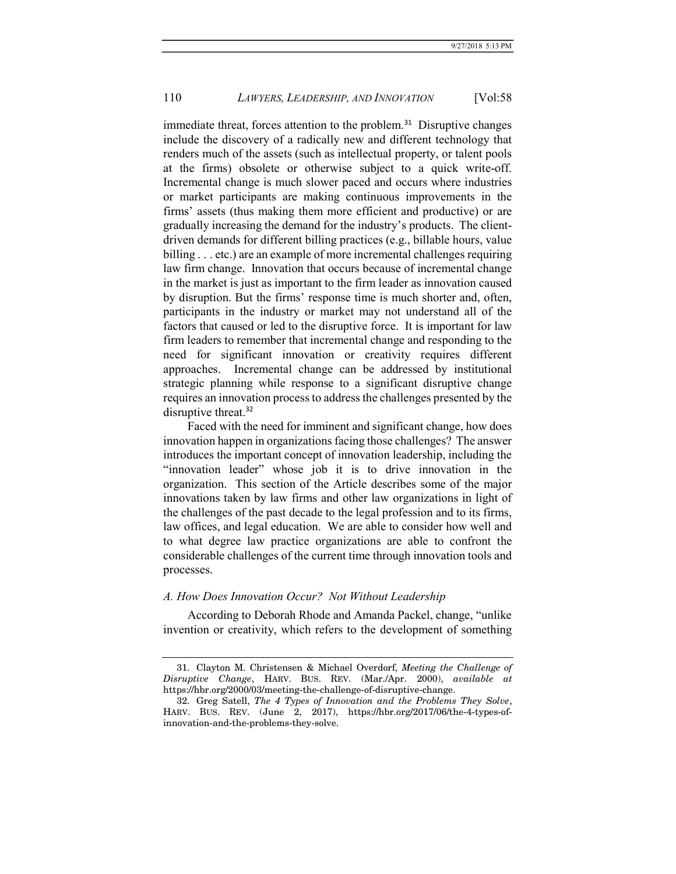immediate threat, forces attention to the problem.<sup>31</sup> Disruptive changes include the discovery of a radically new and different technology that renders much of the assets (such as intellectual property, or talent pools at the firms) obsolete or otherwise subject to a quick write-off. Incremental change is much slower paced and occurs where industries or market participants are making continuous improvements in the firms' assets (thus making them more efficient and productive) or are gradually increasing the demand for the industry's products. The clientdriven demands for different billing practices (e.g., billable hours, value billing . . . etc.) are an example of more incremental challenges requiring law firm change. Innovation that occurs because of incremental change in the market is just as important to the firm leader as innovation caused by disruption. But the firms' response time is much shorter and, often, participants in the industry or market may not understand all of the factors that caused or led to the disruptive force. It is important for law firm leaders to remember that incremental change and responding to the need for significant innovation or creativity requires different approaches. Incremental change can be addressed by institutional strategic planning while response to a significant disruptive change requires an innovation process to address the challenges presented by the disruptive threat.<sup>32</sup>

Faced with the need for imminent and significant change, how does innovation happen in organizations facing those challenges? The answer introduces the important concept of innovation leadership, including the "innovation leader" whose job it is to drive innovation in the organization. This section of the Article describes some of the major innovations taken by law firms and other law organizations in light of the challenges of the past decade to the legal profession and to its firms, law offices, and legal education. We are able to consider how well and to what degree law practice organizations are able to confront the considerable challenges of the current time through innovation tools and processes.

#### A. How Does Innovation Occur? Not Without Leadership

According to Deborah Rhode and Amanda Packel, change, "unlike invention or creativity, which refers to the development of something

 <sup>31.</sup> Clayton M. Christensen & Michael Overdorf, Meeting the Challenge of Disruptive Change, HARV. BUS. REV. (Mar./Apr. 2000), available at https://hbr.org/2000/03/meeting-the-challenge-of-disruptive-change.

 <sup>32.</sup> Greg Satell, The 4 Types of Innovation and the Problems They Solve, HARV. BUS. REV. (June 2, 2017), https://hbr.org/2017/06/the-4-types-ofinnovation-and-the-problems-they-solve.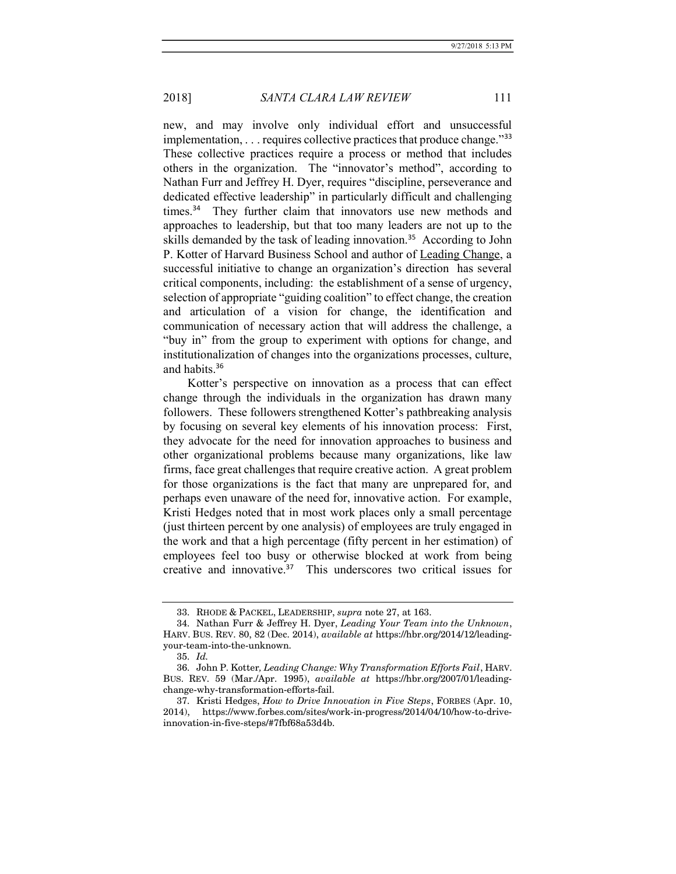new, and may involve only individual effort and unsuccessful implementation,  $\dots$  requires collective practices that produce change."<sup>33</sup> These collective practices require a process or method that includes others in the organization. The "innovator's method", according to Nathan Furr and Jeffrey H. Dyer, requires "discipline, perseverance and dedicated effective leadership" in particularly difficult and challenging times.<sup>34</sup> They further claim that innovators use new methods and approaches to leadership, but that too many leaders are not up to the skills demanded by the task of leading innovation.<sup>35</sup> According to John P. Kotter of Harvard Business School and author of Leading Change, a successful initiative to change an organization's direction has several critical components, including: the establishment of a sense of urgency, selection of appropriate "guiding coalition" to effect change, the creation and articulation of a vision for change, the identification and communication of necessary action that will address the challenge, a "buy in" from the group to experiment with options for change, and institutionalization of changes into the organizations processes, culture, and habits.<sup>36</sup>

Kotter's perspective on innovation as a process that can effect change through the individuals in the organization has drawn many followers. These followers strengthened Kotter's pathbreaking analysis by focusing on several key elements of his innovation process: First, they advocate for the need for innovation approaches to business and other organizational problems because many organizations, like law firms, face great challenges that require creative action. A great problem for those organizations is the fact that many are unprepared for, and perhaps even unaware of the need for, innovative action. For example, Kristi Hedges noted that in most work places only a small percentage (just thirteen percent by one analysis) of employees are truly engaged in the work and that a high percentage (fifty percent in her estimation) of employees feel too busy or otherwise blocked at work from being creative and innovative.<sup>37</sup> This underscores two critical issues for

 <sup>33.</sup> RHODE & PACKEL, LEADERSHIP, supra note 27, at 163.

 <sup>34.</sup> Nathan Furr & Jeffrey H. Dyer, Leading Your Team into the Unknown, HARV. BUS. REV. 80, 82 (Dec. 2014), available at https://hbr.org/2014/12/leadingyour-team-into-the-unknown.

 <sup>35.</sup> Id.

 <sup>36.</sup> John P. Kotter, Leading Change: Why Transformation Efforts Fail, HARV. BUS. REV. 59 (Mar./Apr. 1995), available at https://hbr.org/2007/01/leadingchange-why-transformation-efforts-fail.

 <sup>37.</sup> Kristi Hedges, How to Drive Innovation in Five Steps, FORBES (Apr. 10, 2014), https://www.forbes.com/sites/work-in-progress/2014/04/10/how-to-driveinnovation-in-five-steps/#7fbf68a53d4b.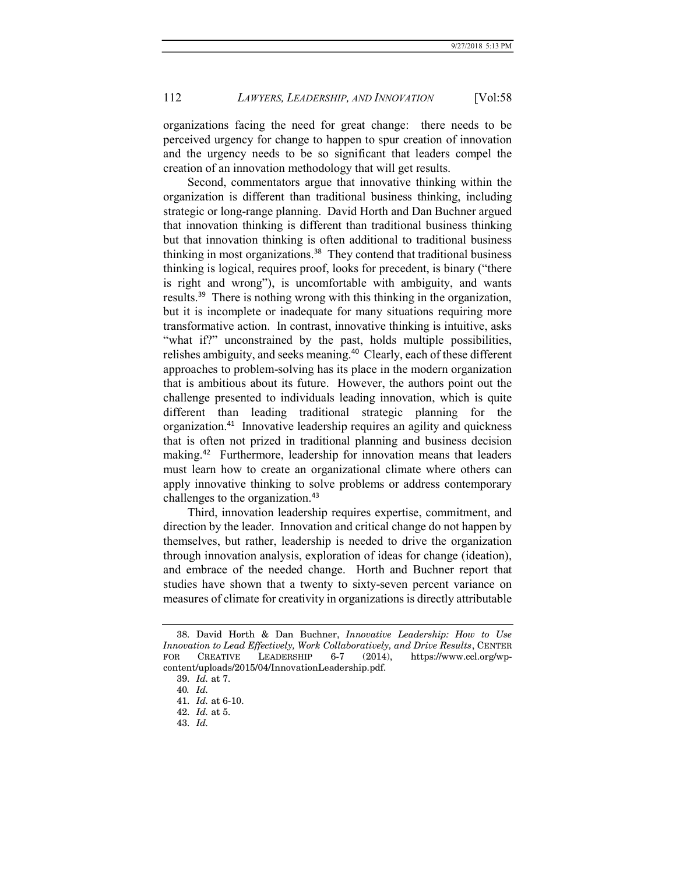organizations facing the need for great change: there needs to be perceived urgency for change to happen to spur creation of innovation and the urgency needs to be so significant that leaders compel the creation of an innovation methodology that will get results.

Second, commentators argue that innovative thinking within the organization is different than traditional business thinking, including strategic or long-range planning. David Horth and Dan Buchner argued that innovation thinking is different than traditional business thinking but that innovation thinking is often additional to traditional business thinking in most organizations.<sup>38</sup> They contend that traditional business thinking is logical, requires proof, looks for precedent, is binary ("there is right and wrong"), is uncomfortable with ambiguity, and wants results.<sup>39</sup> There is nothing wrong with this thinking in the organization, but it is incomplete or inadequate for many situations requiring more transformative action. In contrast, innovative thinking is intuitive, asks "what if?" unconstrained by the past, holds multiple possibilities, relishes ambiguity, and seeks meaning.<sup>40</sup> Clearly, each of these different approaches to problem-solving has its place in the modern organization that is ambitious about its future. However, the authors point out the challenge presented to individuals leading innovation, which is quite different than leading traditional strategic planning for the organization.<sup>41</sup> Innovative leadership requires an agility and quickness that is often not prized in traditional planning and business decision making.<sup>42</sup> Furthermore, leadership for innovation means that leaders must learn how to create an organizational climate where others can apply innovative thinking to solve problems or address contemporary challenges to the organization.<sup>43</sup>

Third, innovation leadership requires expertise, commitment, and direction by the leader. Innovation and critical change do not happen by themselves, but rather, leadership is needed to drive the organization through innovation analysis, exploration of ideas for change (ideation), and embrace of the needed change. Horth and Buchner report that studies have shown that a twenty to sixty-seven percent variance on measures of climate for creativity in organizations is directly attributable

 <sup>38.</sup> David Horth & Dan Buchner, Innovative Leadership: How to Use Innovation to Lead Effectively, Work Collaboratively, and Drive Results, CENTER FOR CREATIVE LEADERSHIP 6-7 (2014), https://www.ccl.org/wp-FOR CREATIVE LEADERSHIP 6-7 (2014), https://www.ccl.org/wpcontent/uploads/2015/04/InnovationLeadership.pdf.

 <sup>39.</sup> Id. at 7.

<sup>40</sup>. Id.

 <sup>41.</sup> Id. at 6-10.

 <sup>42.</sup> Id. at 5.

 <sup>43.</sup> Id.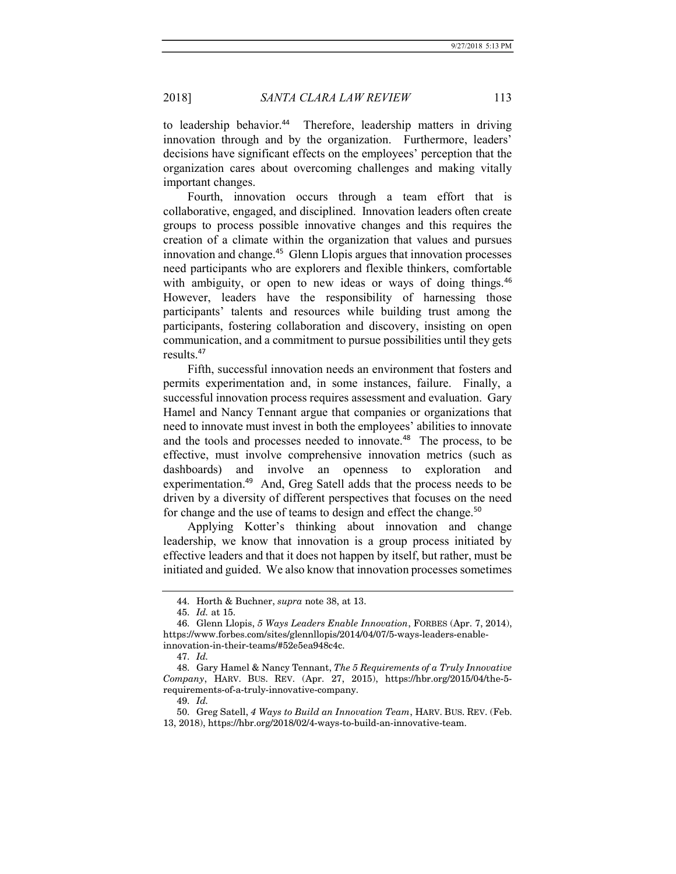to leadership behavior.<sup>44</sup> Therefore, leadership matters in driving innovation through and by the organization. Furthermore, leaders' decisions have significant effects on the employees' perception that the organization cares about overcoming challenges and making vitally important changes.

Fourth, innovation occurs through a team effort that is collaborative, engaged, and disciplined. Innovation leaders often create groups to process possible innovative changes and this requires the creation of a climate within the organization that values and pursues innovation and change.<sup>45</sup> Glenn Llopis argues that innovation processes need participants who are explorers and flexible thinkers, comfortable with ambiguity, or open to new ideas or ways of doing things.<sup>46</sup> However, leaders have the responsibility of harnessing those participants' talents and resources while building trust among the participants, fostering collaboration and discovery, insisting on open communication, and a commitment to pursue possibilities until they gets results.<sup>47</sup>

Fifth, successful innovation needs an environment that fosters and permits experimentation and, in some instances, failure. Finally, a successful innovation process requires assessment and evaluation. Gary Hamel and Nancy Tennant argue that companies or organizations that need to innovate must invest in both the employees' abilities to innovate and the tools and processes needed to innovate.<sup>48</sup> The process, to be effective, must involve comprehensive innovation metrics (such as dashboards) and involve an openness to exploration and experimentation.<sup>49</sup> And, Greg Satell adds that the process needs to be driven by a diversity of different perspectives that focuses on the need for change and the use of teams to design and effect the change.<sup>50</sup>

Applying Kotter's thinking about innovation and change leadership, we know that innovation is a group process initiated by effective leaders and that it does not happen by itself, but rather, must be initiated and guided. We also know that innovation processes sometimes

 <sup>44.</sup> Horth & Buchner, supra note 38, at 13.

 <sup>45.</sup> Id. at 15.

 <sup>46.</sup> Glenn Llopis, 5 Ways Leaders Enable Innovation, FORBES (Apr. 7, 2014), https://www.forbes.com/sites/glennllopis/2014/04/07/5-ways-leaders-enableinnovation-in-their-teams/#52e5ea948c4c.

 <sup>47.</sup> Id.

 <sup>48.</sup> Gary Hamel & Nancy Tennant, The 5 Requirements of a Truly Innovative Company, HARV. BUS. REV. (Apr. 27, 2015), https://hbr.org/2015/04/the-5 requirements-of-a-truly-innovative-company.

 <sup>49.</sup> Id.

 <sup>50.</sup> Greg Satell, 4 Ways to Build an Innovation Team, HARV. BUS. REV. (Feb. 13, 2018), https://hbr.org/2018/02/4-ways-to-build-an-innovative-team.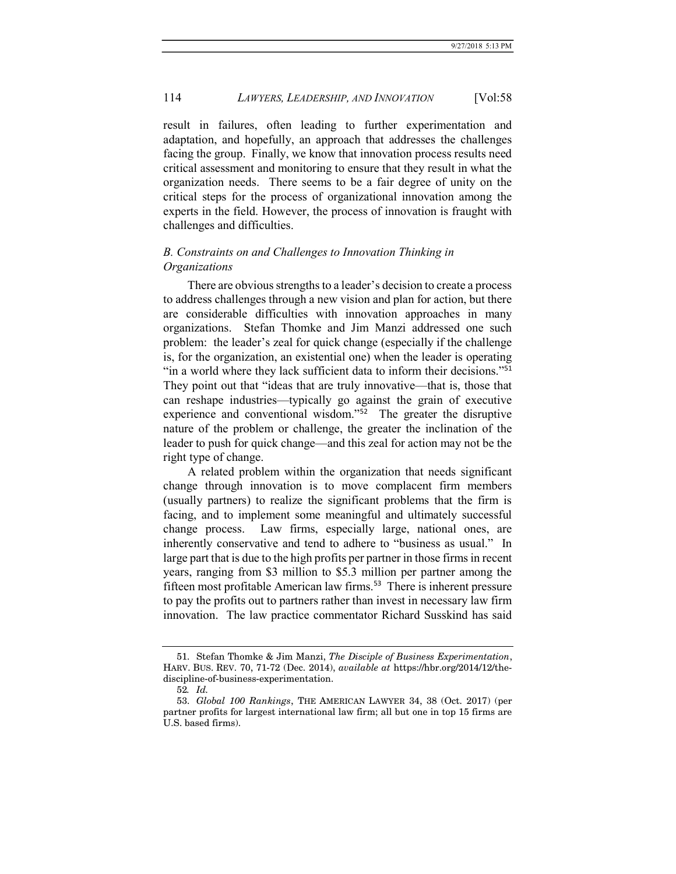result in failures, often leading to further experimentation and adaptation, and hopefully, an approach that addresses the challenges facing the group. Finally, we know that innovation process results need critical assessment and monitoring to ensure that they result in what the organization needs. There seems to be a fair degree of unity on the critical steps for the process of organizational innovation among the experts in the field. However, the process of innovation is fraught with challenges and difficulties.

# B. Constraints on and Challenges to Innovation Thinking in **Organizations**

There are obvious strengths to a leader's decision to create a process to address challenges through a new vision and plan for action, but there are considerable difficulties with innovation approaches in many organizations. Stefan Thomke and Jim Manzi addressed one such problem: the leader's zeal for quick change (especially if the challenge is, for the organization, an existential one) when the leader is operating "in a world where they lack sufficient data to inform their decisions."<sup>51</sup> They point out that "ideas that are truly innovative—that is, those that can reshape industries—typically go against the grain of executive experience and conventional wisdom."<sup>52</sup> The greater the disruptive nature of the problem or challenge, the greater the inclination of the leader to push for quick change—and this zeal for action may not be the right type of change.

A related problem within the organization that needs significant change through innovation is to move complacent firm members (usually partners) to realize the significant problems that the firm is facing, and to implement some meaningful and ultimately successful change process. Law firms, especially large, national ones, are inherently conservative and tend to adhere to "business as usual." In large part that is due to the high profits per partner in those firms in recent years, ranging from \$3 million to \$5.3 million per partner among the fifteen most profitable American law firms.<sup>53</sup> There is inherent pressure to pay the profits out to partners rather than invest in necessary law firm innovation. The law practice commentator Richard Susskind has said

 <sup>51.</sup> Stefan Thomke & Jim Manzi, The Disciple of Business Experimentation, HARV. BUS. REV. 70, 71-72 (Dec. 2014), available at https://hbr.org/2014/12/thediscipline-of-business-experimentation.

<sup>52</sup>. Id.

 <sup>53.</sup> Global 100 Rankings, THE AMERICAN LAWYER 34, 38 (Oct. 2017) (per partner profits for largest international law firm; all but one in top 15 firms are U.S. based firms).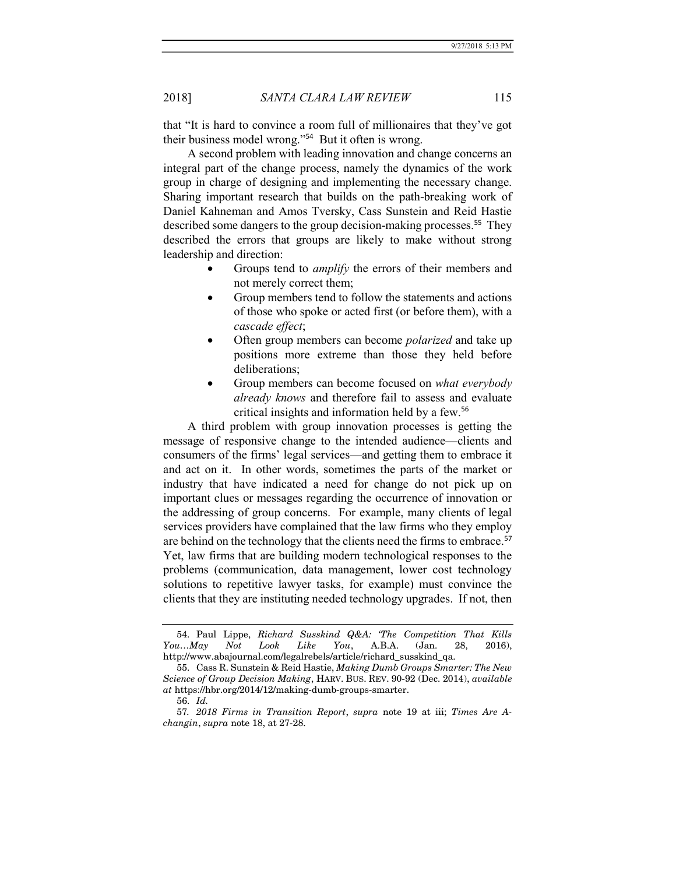that "It is hard to convince a room full of millionaires that they've got their business model wrong."<sup>54</sup> But it often is wrong.

A second problem with leading innovation and change concerns an integral part of the change process, namely the dynamics of the work group in charge of designing and implementing the necessary change. Sharing important research that builds on the path-breaking work of Daniel Kahneman and Amos Tversky, Cass Sunstein and Reid Hastie described some dangers to the group decision-making processes.<sup>55</sup> They described the errors that groups are likely to make without strong leadership and direction:

- Groups tend to *amplify* the errors of their members and not merely correct them;
- Group members tend to follow the statements and actions of those who spoke or acted first (or before them), with a cascade effect;
- Often group members can become polarized and take up positions more extreme than those they held before deliberations;
- Group members can become focused on *what everybody* already knows and therefore fail to assess and evaluate critical insights and information held by a few.<sup>56</sup>

A third problem with group innovation processes is getting the message of responsive change to the intended audience—clients and consumers of the firms' legal services—and getting them to embrace it and act on it. In other words, sometimes the parts of the market or industry that have indicated a need for change do not pick up on important clues or messages regarding the occurrence of innovation or the addressing of group concerns. For example, many clients of legal services providers have complained that the law firms who they employ are behind on the technology that the clients need the firms to embrace.<sup>57</sup> Yet, law firms that are building modern technological responses to the problems (communication, data management, lower cost technology solutions to repetitive lawyer tasks, for example) must convince the clients that they are instituting needed technology upgrades. If not, then

 <sup>54.</sup> Paul Lippe, Richard Susskind Q&A: 'The Competition That Kills You…May Not Look Like You, A.B.A. (Jan. 28, 2016), http://www.abajournal.com/legalrebels/article/richard\_susskind\_qa.

 <sup>55.</sup> Cass R. Sunstein & Reid Hastie, Making Dumb Groups Smarter: The New Science of Group Decision Making, HARV. BUS. REV. 90-92 (Dec. 2014), available at https://hbr.org/2014/12/making-dumb-groups-smarter.

 <sup>56.</sup> Id.

<sup>57</sup>. 2018 Firms in Transition Report, supra note 19 at iii; Times Are Achangin, supra note 18, at 27-28.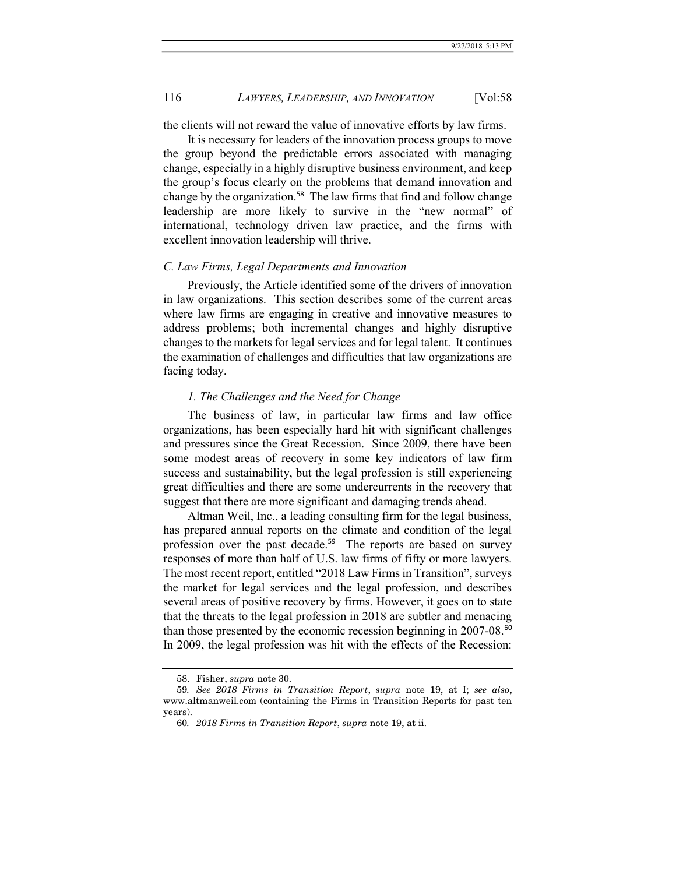the clients will not reward the value of innovative efforts by law firms.

It is necessary for leaders of the innovation process groups to move the group beyond the predictable errors associated with managing change, especially in a highly disruptive business environment, and keep the group's focus clearly on the problems that demand innovation and change by the organization.<sup>58</sup> The law firms that find and follow change leadership are more likely to survive in the "new normal" of international, technology driven law practice, and the firms with excellent innovation leadership will thrive.

### C. Law Firms, Legal Departments and Innovation

Previously, the Article identified some of the drivers of innovation in law organizations. This section describes some of the current areas where law firms are engaging in creative and innovative measures to address problems; both incremental changes and highly disruptive changes to the markets for legal services and for legal talent. It continues the examination of challenges and difficulties that law organizations are facing today.

### 1. The Challenges and the Need for Change

The business of law, in particular law firms and law office organizations, has been especially hard hit with significant challenges and pressures since the Great Recession. Since 2009, there have been some modest areas of recovery in some key indicators of law firm success and sustainability, but the legal profession is still experiencing great difficulties and there are some undercurrents in the recovery that suggest that there are more significant and damaging trends ahead.

Altman Weil, Inc., a leading consulting firm for the legal business, has prepared annual reports on the climate and condition of the legal profession over the past decade.<sup>59</sup> The reports are based on survey responses of more than half of U.S. law firms of fifty or more lawyers. The most recent report, entitled "2018 Law Firms in Transition", surveys the market for legal services and the legal profession, and describes several areas of positive recovery by firms. However, it goes on to state that the threats to the legal profession in 2018 are subtler and menacing than those presented by the economic recession beginning in 2007-08.<sup>60</sup> In 2009, the legal profession was hit with the effects of the Recession:

 <sup>58.</sup> Fisher, supra note 30.

<sup>59</sup>. See 2018 Firms in Transition Report, supra note 19, at I; see also, www.altmanweil.com (containing the Firms in Transition Reports for past ten years).

<sup>60</sup>. 2018 Firms in Transition Report, supra note 19, at ii.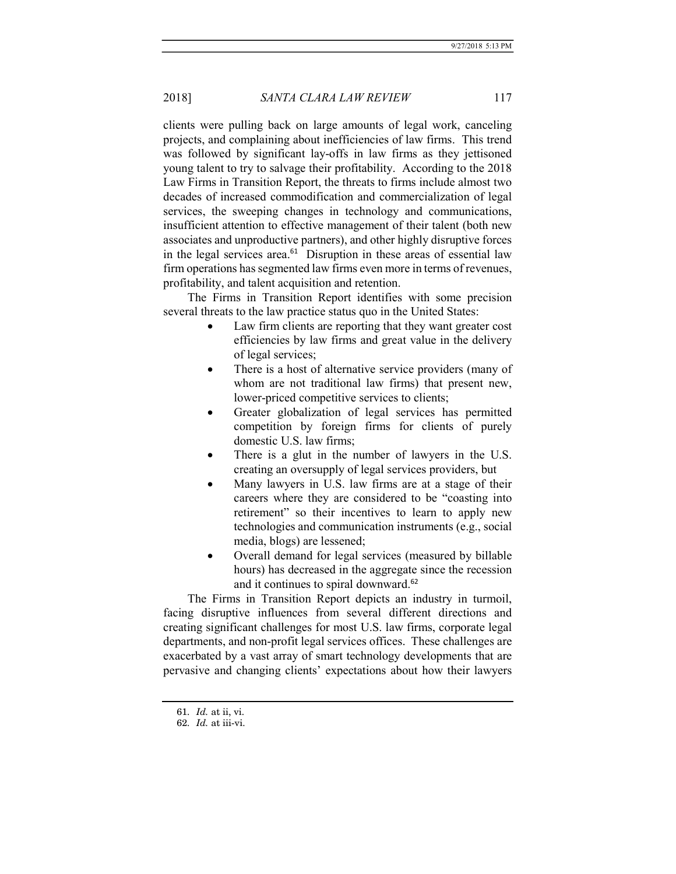clients were pulling back on large amounts of legal work, canceling projects, and complaining about inefficiencies of law firms. This trend was followed by significant lay-offs in law firms as they jettisoned young talent to try to salvage their profitability. According to the 2018 Law Firms in Transition Report, the threats to firms include almost two decades of increased commodification and commercialization of legal services, the sweeping changes in technology and communications, insufficient attention to effective management of their talent (both new associates and unproductive partners), and other highly disruptive forces in the legal services area. $61$  Disruption in these areas of essential law firm operations has segmented law firms even more in terms of revenues, profitability, and talent acquisition and retention.

The Firms in Transition Report identifies with some precision several threats to the law practice status quo in the United States:

- Law firm clients are reporting that they want greater cost efficiencies by law firms and great value in the delivery of legal services;
- There is a host of alternative service providers (many of whom are not traditional law firms) that present new, lower-priced competitive services to clients;
- Greater globalization of legal services has permitted competition by foreign firms for clients of purely domestic U.S. law firms;
- There is a glut in the number of lawyers in the U.S. creating an oversupply of legal services providers, but
- Many lawyers in U.S. law firms are at a stage of their careers where they are considered to be "coasting into retirement" so their incentives to learn to apply new technologies and communication instruments (e.g., social media, blogs) are lessened;
- Overall demand for legal services (measured by billable hours) has decreased in the aggregate since the recession and it continues to spiral downward.<sup>62</sup>

The Firms in Transition Report depicts an industry in turmoil, facing disruptive influences from several different directions and creating significant challenges for most U.S. law firms, corporate legal departments, and non-profit legal services offices. These challenges are exacerbated by a vast array of smart technology developments that are pervasive and changing clients' expectations about how their lawyers

 <sup>61.</sup> Id. at ii, vi.

 <sup>62.</sup> Id. at iii-vi.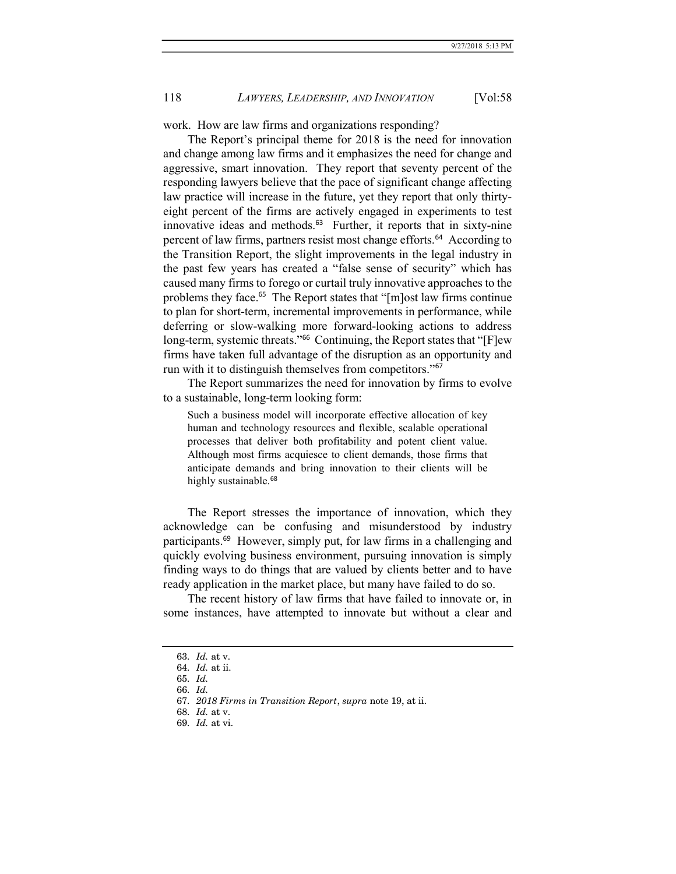work. How are law firms and organizations responding?

The Report's principal theme for 2018 is the need for innovation and change among law firms and it emphasizes the need for change and aggressive, smart innovation. They report that seventy percent of the responding lawyers believe that the pace of significant change affecting law practice will increase in the future, yet they report that only thirtyeight percent of the firms are actively engaged in experiments to test innovative ideas and methods. $63$  Further, it reports that in sixty-nine percent of law firms, partners resist most change efforts.<sup>64</sup> According to the Transition Report, the slight improvements in the legal industry in the past few years has created a "false sense of security" which has caused many firms to forego or curtail truly innovative approaches to the problems they face.<sup>65</sup> The Report states that "[m]ost law firms continue to plan for short-term, incremental improvements in performance, while deferring or slow-walking more forward-looking actions to address long-term, systemic threats."<sup>66</sup> Continuing, the Report states that "[F]ew firms have taken full advantage of the disruption as an opportunity and run with it to distinguish themselves from competitors."<sup>67</sup>

The Report summarizes the need for innovation by firms to evolve to a sustainable, long-term looking form:

Such a business model will incorporate effective allocation of key human and technology resources and flexible, scalable operational processes that deliver both profitability and potent client value. Although most firms acquiesce to client demands, those firms that anticipate demands and bring innovation to their clients will be highly sustainable.<sup>68</sup>

The Report stresses the importance of innovation, which they acknowledge can be confusing and misunderstood by industry participants.<sup>69</sup> However, simply put, for law firms in a challenging and quickly evolving business environment, pursuing innovation is simply finding ways to do things that are valued by clients better and to have ready application in the market place, but many have failed to do so.

The recent history of law firms that have failed to innovate or, in some instances, have attempted to innovate but without a clear and

 <sup>63.</sup> Id. at v.

 <sup>64.</sup> Id. at ii.

 <sup>65.</sup> Id.

 <sup>66.</sup> Id.

 <sup>67.</sup> 2018 Firms in Transition Report, supra note 19, at ii.

 <sup>68.</sup> Id. at v.

 <sup>69.</sup> Id. at vi.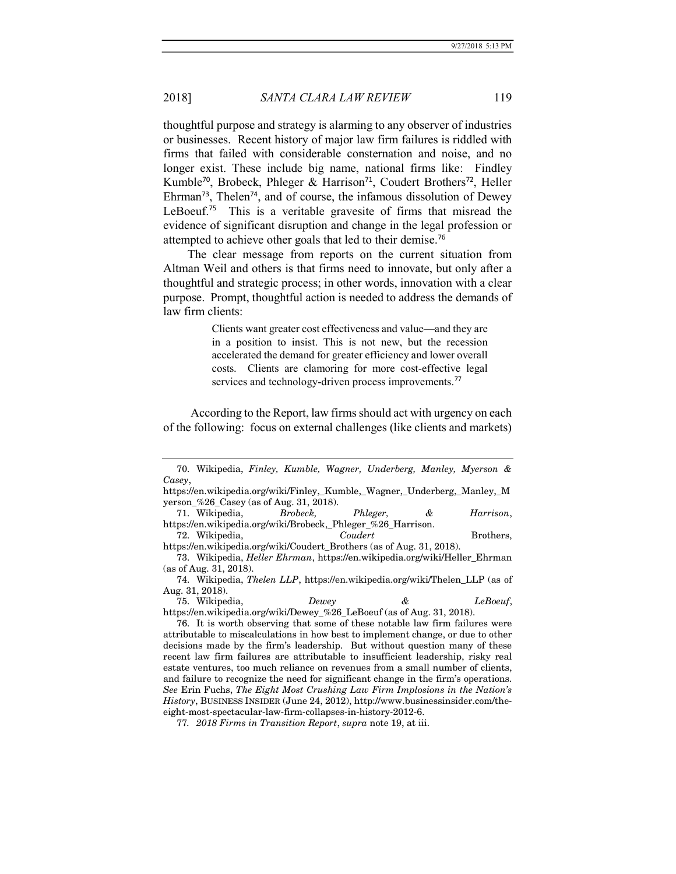thoughtful purpose and strategy is alarming to any observer of industries or businesses. Recent history of major law firm failures is riddled with firms that failed with considerable consternation and noise, and no longer exist. These include big name, national firms like: Findley Kumble<sup>70</sup>, Brobeck, Phleger & Harrison<sup>71</sup>, Coudert Brothers<sup>72</sup>, Heller Ehrman<sup>73</sup>, Thelen<sup>74</sup>, and of course, the infamous dissolution of Dewey LeBoeuf.<sup>75</sup> This is a veritable gravesite of firms that misread the evidence of significant disruption and change in the legal profession or attempted to achieve other goals that led to their demise.<sup>76</sup>

The clear message from reports on the current situation from Altman Weil and others is that firms need to innovate, but only after a thoughtful and strategic process; in other words, innovation with a clear purpose. Prompt, thoughtful action is needed to address the demands of law firm clients:

> Clients want greater cost effectiveness and value—and they are in a position to insist. This is not new, but the recession accelerated the demand for greater efficiency and lower overall costs. Clients are clamoring for more cost-effective legal services and technology-driven process improvements.<sup>77</sup>

 According to the Report, law firms should act with urgency on each of the following: focus on external challenges (like clients and markets)

 75. Wikipedia, Dewey & LeBoeuf, https://en.wikipedia.org/wiki/Dewey\_%26\_LeBoeuf (as of Aug. 31, 2018).

 <sup>70.</sup> Wikipedia, Finley, Kumble, Wagner, Underberg, Manley, Myerson & Casey,

https://en.wikipedia.org/wiki/Finley,\_Kumble,\_Wagner,\_Underberg,\_Manley,\_M yerson\_%26\_Casey (as of Aug. 31, 2018).

 <sup>71.</sup> Wikipedia, Brobeck, Phleger, & Harrison, https://en.wikipedia.org/wiki/Brobeck,\_Phleger\_%26\_Harrison.

 <sup>72.</sup> Wikipedia, Coudert Brothers, https://en.wikipedia.org/wiki/Coudert\_Brothers (as of Aug. 31, 2018).

 <sup>73.</sup> Wikipedia, Heller Ehrman, https://en.wikipedia.org/wiki/Heller\_Ehrman (as of Aug. 31, 2018).

 <sup>74.</sup> Wikipedia, Thelen LLP, https://en.wikipedia.org/wiki/Thelen\_LLP (as of Aug. 31, 2018).

 <sup>76.</sup> It is worth observing that some of these notable law firm failures were attributable to miscalculations in how best to implement change, or due to other decisions made by the firm's leadership. But without question many of these recent law firm failures are attributable to insufficient leadership, risky real estate ventures, too much reliance on revenues from a small number of clients, and failure to recognize the need for significant change in the firm's operations. See Erin Fuchs, The Eight Most Crushing Law Firm Implosions in the Nation's History, BUSINESS INSIDER (June 24, 2012), http://www.businessinsider.com/theeight-most-spectacular-law-firm-collapses-in-history-2012-6.

<sup>77</sup>. 2018 Firms in Transition Report, supra note 19, at iii.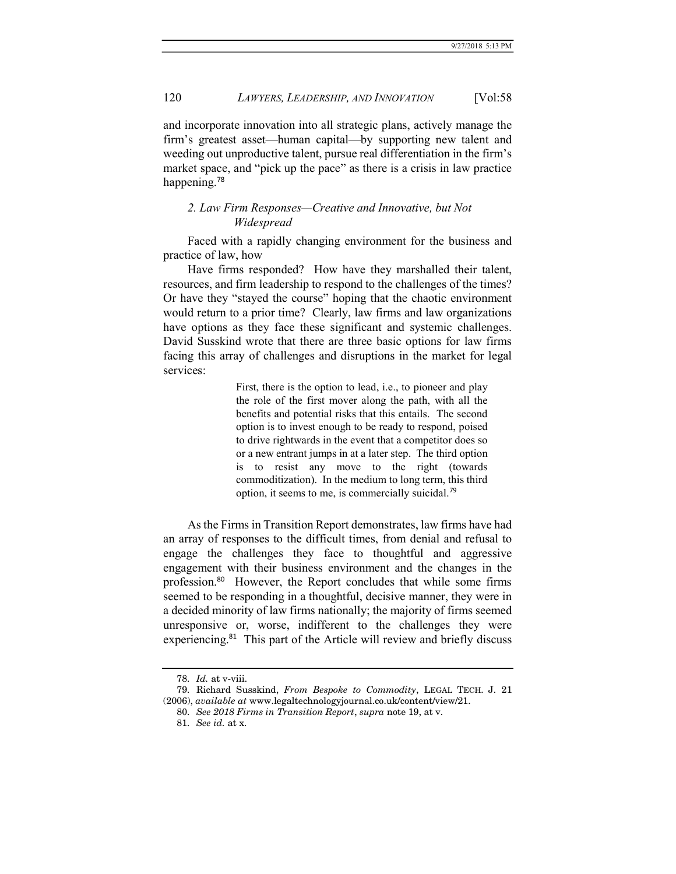and incorporate innovation into all strategic plans, actively manage the firm's greatest asset—human capital—by supporting new talent and weeding out unproductive talent, pursue real differentiation in the firm's market space, and "pick up the pace" as there is a crisis in law practice happening.<sup>78</sup>

## 2. Law Firm Responses—Creative and Innovative, but Not Widespread

Faced with a rapidly changing environment for the business and practice of law, how

Have firms responded? How have they marshalled their talent, resources, and firm leadership to respond to the challenges of the times? Or have they "stayed the course" hoping that the chaotic environment would return to a prior time? Clearly, law firms and law organizations have options as they face these significant and systemic challenges. David Susskind wrote that there are three basic options for law firms facing this array of challenges and disruptions in the market for legal services:

> First, there is the option to lead, i.e., to pioneer and play the role of the first mover along the path, with all the benefits and potential risks that this entails. The second option is to invest enough to be ready to respond, poised to drive rightwards in the event that a competitor does so or a new entrant jumps in at a later step. The third option is to resist any move to the right (towards commoditization). In the medium to long term, this third option, it seems to me, is commercially suicidal.<sup>79</sup>

As the Firms in Transition Report demonstrates, law firms have had an array of responses to the difficult times, from denial and refusal to engage the challenges they face to thoughtful and aggressive engagement with their business environment and the changes in the profession.<sup>80</sup> However, the Report concludes that while some firms seemed to be responding in a thoughtful, decisive manner, they were in a decided minority of law firms nationally; the majority of firms seemed unresponsive or, worse, indifferent to the challenges they were experiencing.<sup>81</sup> This part of the Article will review and briefly discuss

 <sup>78.</sup> Id. at v-viii.

 <sup>79.</sup> Richard Susskind, From Bespoke to Commodity, LEGAL TECH. J. 21 (2006), available at www.legaltechnologyjournal.co.uk/content/view/21.

 <sup>80.</sup> See 2018 Firms in Transition Report, supra note 19, at v.

 <sup>81.</sup> See id. at x.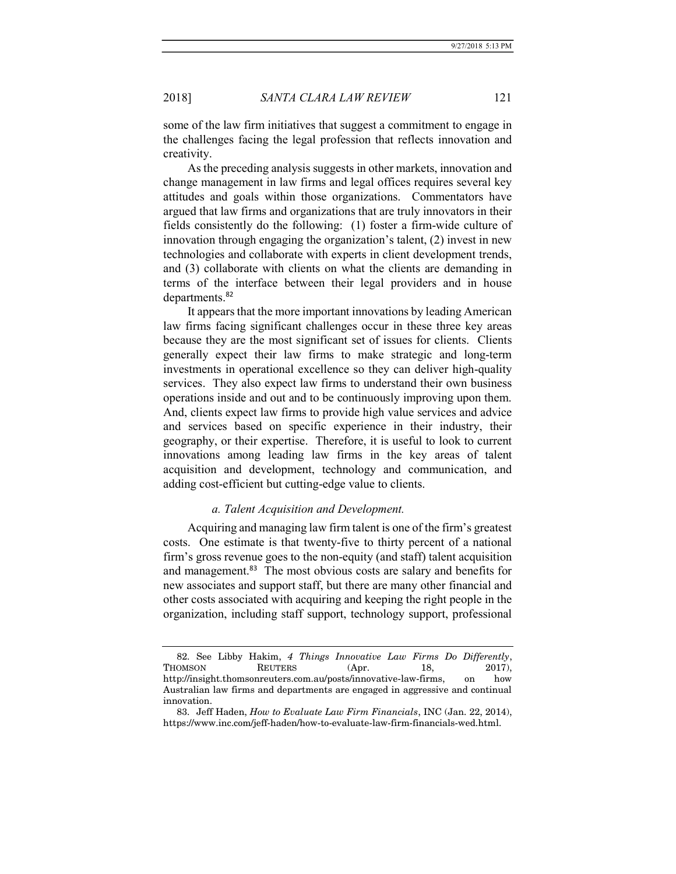some of the law firm initiatives that suggest a commitment to engage in the challenges facing the legal profession that reflects innovation and creativity.

As the preceding analysis suggests in other markets, innovation and change management in law firms and legal offices requires several key attitudes and goals within those organizations. Commentators have argued that law firms and organizations that are truly innovators in their fields consistently do the following: (1) foster a firm-wide culture of innovation through engaging the organization's talent, (2) invest in new technologies and collaborate with experts in client development trends, and (3) collaborate with clients on what the clients are demanding in terms of the interface between their legal providers and in house departments.<sup>82</sup>

It appears that the more important innovations by leading American law firms facing significant challenges occur in these three key areas because they are the most significant set of issues for clients. Clients generally expect their law firms to make strategic and long-term investments in operational excellence so they can deliver high-quality services. They also expect law firms to understand their own business operations inside and out and to be continuously improving upon them. And, clients expect law firms to provide high value services and advice and services based on specific experience in their industry, their geography, or their expertise. Therefore, it is useful to look to current innovations among leading law firms in the key areas of talent acquisition and development, technology and communication, and adding cost-efficient but cutting-edge value to clients.

### a. Talent Acquisition and Development.

Acquiring and managing law firm talent is one of the firm's greatest costs. One estimate is that twenty-five to thirty percent of a national firm's gross revenue goes to the non-equity (and staff) talent acquisition and management.<sup>83</sup> The most obvious costs are salary and benefits for new associates and support staff, but there are many other financial and other costs associated with acquiring and keeping the right people in the organization, including staff support, technology support, professional

 <sup>82.</sup> See Libby Hakim, 4 Things Innovative Law Firms Do Differently, THOMSON REUTERS (Apr. 18, 2017), http://insight.thomsonreuters.com.au/posts/innovative-law-firms, on how Australian law firms and departments are engaged in aggressive and continual innovation.

 <sup>83.</sup> Jeff Haden, How to Evaluate Law Firm Financials, INC (Jan. 22, 2014), https://www.inc.com/jeff-haden/how-to-evaluate-law-firm-financials-wed.html.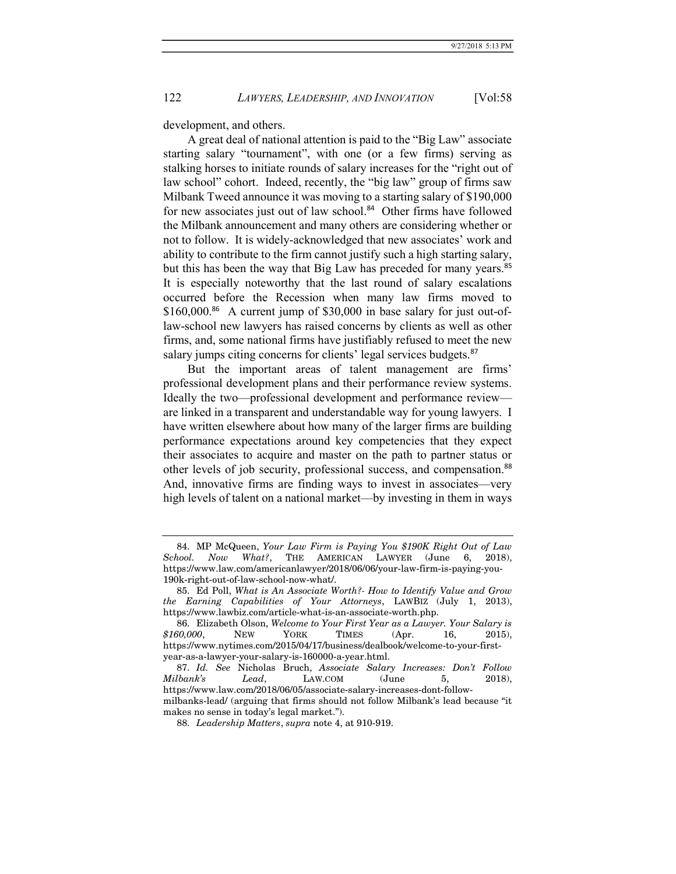development, and others.

A great deal of national attention is paid to the "Big Law" associate starting salary "tournament", with one (or a few firms) serving as stalking horses to initiate rounds of salary increases for the "right out of law school" cohort. Indeed, recently, the "big law" group of firms saw Milbank Tweed announce it was moving to a starting salary of \$190,000 for new associates just out of law school.<sup>84</sup> Other firms have followed the Milbank announcement and many others are considering whether or not to follow. It is widely-acknowledged that new associates' work and ability to contribute to the firm cannot justify such a high starting salary, but this has been the way that Big Law has preceded for many years.<sup>85</sup> It is especially noteworthy that the last round of salary escalations occurred before the Recession when many law firms moved to \$160,000.86 A current jump of \$30,000 in base salary for just out-oflaw-school new lawyers has raised concerns by clients as well as other firms, and, some national firms have justifiably refused to meet the new salary jumps citing concerns for clients' legal services budgets.<sup>87</sup>

But the important areas of talent management are firms' professional development plans and their performance review systems. Ideally the two—professional development and performance review are linked in a transparent and understandable way for young lawyers. I have written elsewhere about how many of the larger firms are building performance expectations around key competencies that they expect their associates to acquire and master on the path to partner status or other levels of job security, professional success, and compensation.<sup>88</sup> And, innovative firms are finding ways to invest in associates—very high levels of talent on a national market—by investing in them in ways

 <sup>84.</sup> MP McQueen, Your Law Firm is Paying You \$190K Right Out of Law School. Now What?, THE AMERICAN LAWYER (June 6, 2018), https://www.law.com/americanlawyer/2018/06/06/your-law-firm-is-paying-you-190k-right-out-of-law-school-now-what/.

 <sup>85.</sup> Ed Poll, What is An Associate Worth?- How to Identify Value and Grow the Earning Capabilities of Your Attorneys, LAWBIZ (July 1, 2013), https://www.lawbiz.com/article-what-is-an-associate-worth.php.

 <sup>86.</sup> Elizabeth Olson, Welcome to Your First Year as a Lawyer. Your Salary is \$160,000, NEW YORK TIMES (Apr. 16, 2015), https://www.nytimes.com/2015/04/17/business/dealbook/welcome-to-your-firstyear-as-a-lawyer-your-salary-is-160000-a-year.html.

 <sup>87.</sup> Id. See Nicholas Bruch, Associate Salary Increases: Don't Follow Milbank's Lead, LAW.COM (June 5, 2018), https://www.law.com/2018/06/05/associate-salary-increases-dont-followmilbanks-lead/ (arguing that firms should not follow Milbank's lead because "it makes no sense in today's legal market.").

 <sup>88.</sup> Leadership Matters, supra note 4, at 910-919.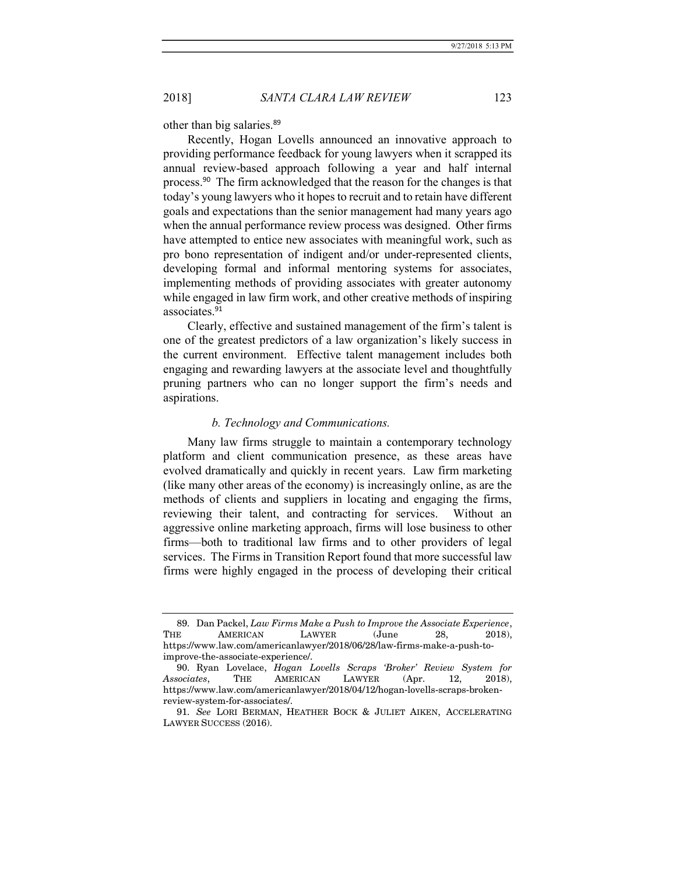other than big salaries.<sup>89</sup>

Recently, Hogan Lovells announced an innovative approach to providing performance feedback for young lawyers when it scrapped its annual review-based approach following a year and half internal process.<sup>90</sup> The firm acknowledged that the reason for the changes is that today's young lawyers who it hopes to recruit and to retain have different goals and expectations than the senior management had many years ago when the annual performance review process was designed. Other firms have attempted to entice new associates with meaningful work, such as pro bono representation of indigent and/or under-represented clients, developing formal and informal mentoring systems for associates, implementing methods of providing associates with greater autonomy while engaged in law firm work, and other creative methods of inspiring associates.<sup>91</sup>

Clearly, effective and sustained management of the firm's talent is one of the greatest predictors of a law organization's likely success in the current environment. Effective talent management includes both engaging and rewarding lawyers at the associate level and thoughtfully pruning partners who can no longer support the firm's needs and aspirations.

#### b. Technology and Communications.

Many law firms struggle to maintain a contemporary technology platform and client communication presence, as these areas have evolved dramatically and quickly in recent years. Law firm marketing (like many other areas of the economy) is increasingly online, as are the methods of clients and suppliers in locating and engaging the firms, reviewing their talent, and contracting for services. Without an aggressive online marketing approach, firms will lose business to other firms—both to traditional law firms and to other providers of legal services. The Firms in Transition Report found that more successful law firms were highly engaged in the process of developing their critical

<sup>89.</sup> Dan Packel, Law Firms Make a Push to Improve the Associate Experience, THE AMERICAN LAWYER (June 28, 2018), https://www.law.com/americanlawyer/2018/06/28/law-firms-make-a-push-toimprove-the-associate-experience/.

 <sup>90.</sup> Ryan Lovelace, Hogan Lovells Scraps 'Broker' Review System for Associates, THE AMERICAN LAWYER (Apr. 12, 2018), https://www.law.com/americanlawyer/2018/04/12/hogan-lovells-scraps-brokenreview-system-for-associates/.

 <sup>91.</sup> See LORI BERMAN, HEATHER BOCK & JULIET AIKEN, ACCELERATING LAWYER SUCCESS (2016).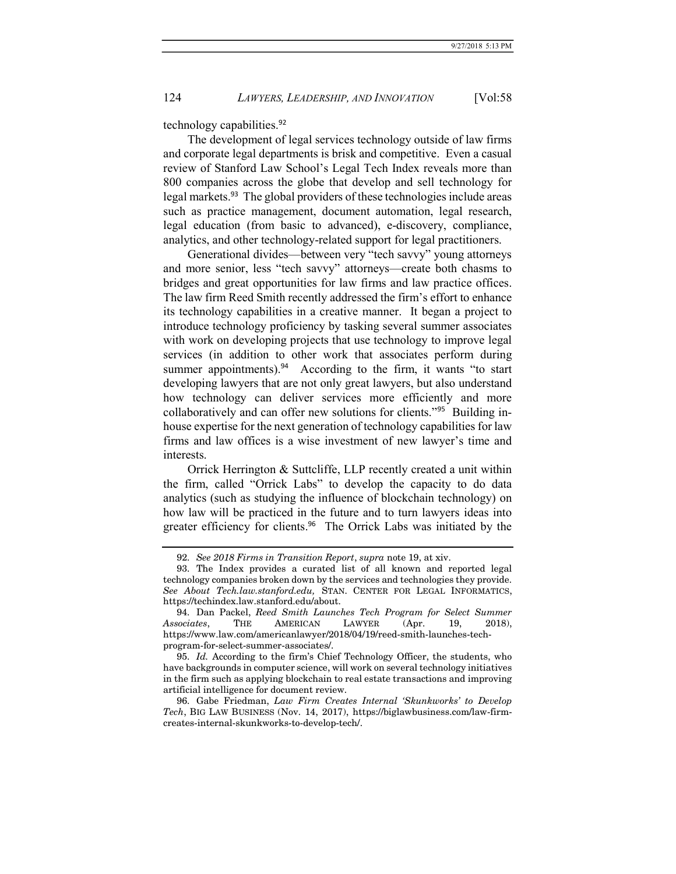technology capabilities.<sup>92</sup>

The development of legal services technology outside of law firms and corporate legal departments is brisk and competitive. Even a casual review of Stanford Law School's Legal Tech Index reveals more than 800 companies across the globe that develop and sell technology for legal markets.<sup>93</sup> The global providers of these technologies include areas such as practice management, document automation, legal research, legal education (from basic to advanced), e-discovery, compliance, analytics, and other technology-related support for legal practitioners.

Generational divides—between very "tech savvy" young attorneys and more senior, less "tech savvy" attorneys—create both chasms to bridges and great opportunities for law firms and law practice offices. The law firm Reed Smith recently addressed the firm's effort to enhance its technology capabilities in a creative manner. It began a project to introduce technology proficiency by tasking several summer associates with work on developing projects that use technology to improve legal services (in addition to other work that associates perform during summer appointments).<sup>94</sup> According to the firm, it wants "to start developing lawyers that are not only great lawyers, but also understand how technology can deliver services more efficiently and more collaboratively and can offer new solutions for clients."95 Building inhouse expertise for the next generation of technology capabilities for law firms and law offices is a wise investment of new lawyer's time and interests.

Orrick Herrington & Suttcliffe, LLP recently created a unit within the firm, called "Orrick Labs" to develop the capacity to do data analytics (such as studying the influence of blockchain technology) on how law will be practiced in the future and to turn lawyers ideas into greater efficiency for clients.<sup>96</sup> The Orrick Labs was initiated by the

 <sup>92.</sup> See 2018 Firms in Transition Report, supra note 19, at xiv.

 <sup>93.</sup> The Index provides a curated list of all known and reported legal technology companies broken down by the services and technologies they provide. See About Tech.law.stanford.edu, STAN. CENTER FOR LEGAL INFORMATICS, https://techindex.law.stanford.edu/about.

 <sup>94.</sup> Dan Packel, Reed Smith Launches Tech Program for Select Summer Associates, THE AMERICAN LAWYER (Apr. 19, 2018), https://www.law.com/americanlawyer/2018/04/19/reed-smith-launches-techprogram-for-select-summer-associates/.

 <sup>95.</sup> Id. According to the firm's Chief Technology Officer, the students, who have backgrounds in computer science, will work on several technology initiatives in the firm such as applying blockchain to real estate transactions and improving artificial intelligence for document review.

 <sup>96.</sup> Gabe Friedman, Law Firm Creates Internal 'Skunkworks' to Develop Tech, BIG LAW BUSINESS (Nov. 14, 2017), https://biglawbusiness.com/law-firmcreates-internal-skunkworks-to-develop-tech/.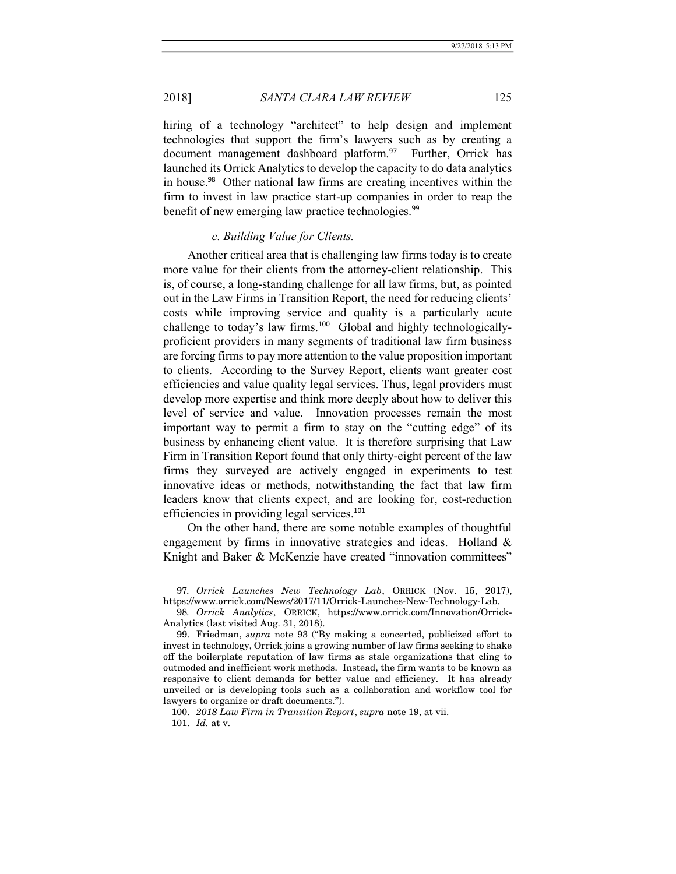hiring of a technology "architect" to help design and implement technologies that support the firm's lawyers such as by creating a document management dashboard platform.<sup>97</sup> Further, Orrick has launched its Orrick Analytics to develop the capacity to do data analytics in house.<sup>98</sup> Other national law firms are creating incentives within the firm to invest in law practice start-up companies in order to reap the benefit of new emerging law practice technologies.<sup>99</sup>

### c. Building Value for Clients.

Another critical area that is challenging law firms today is to create more value for their clients from the attorney-client relationship. This is, of course, a long-standing challenge for all law firms, but, as pointed out in the Law Firms in Transition Report, the need for reducing clients' costs while improving service and quality is a particularly acute challenge to today's law firms.<sup>100</sup> Global and highly technologicallyproficient providers in many segments of traditional law firm business are forcing firms to pay more attention to the value proposition important to clients. According to the Survey Report, clients want greater cost efficiencies and value quality legal services. Thus, legal providers must develop more expertise and think more deeply about how to deliver this level of service and value. Innovation processes remain the most important way to permit a firm to stay on the "cutting edge" of its business by enhancing client value. It is therefore surprising that Law Firm in Transition Report found that only thirty-eight percent of the law firms they surveyed are actively engaged in experiments to test innovative ideas or methods, notwithstanding the fact that law firm leaders know that clients expect, and are looking for, cost-reduction efficiencies in providing legal services.<sup>101</sup>

On the other hand, there are some notable examples of thoughtful engagement by firms in innovative strategies and ideas. Holland & Knight and Baker & McKenzie have created "innovation committees"

<sup>97</sup>. Orrick Launches New Technology Lab, ORRICK (Nov. 15, 2017), https://www.orrick.com/News/2017/11/Orrick-Launches-New-Technology-Lab.

<sup>98</sup>. Orrick Analytics, ORRICK, https://www.orrick.com/Innovation/Orrick-Analytics (last visited Aug. 31, 2018).

 <sup>99.</sup> Friedman, supra note 93 ("By making a concerted, publicized effort to invest in technology, Orrick joins a growing number of law firms seeking to shake off the boilerplate reputation of law firms as stale organizations that cling to outmoded and inefficient work methods. Instead, the firm wants to be known as responsive to client demands for better value and efficiency. It has already unveiled or is developing tools such as a collaboration and workflow tool for lawyers to organize or draft documents.").

 <sup>100.</sup> 2018 Law Firm in Transition Report, supra note 19, at vii. 101. Id. at v.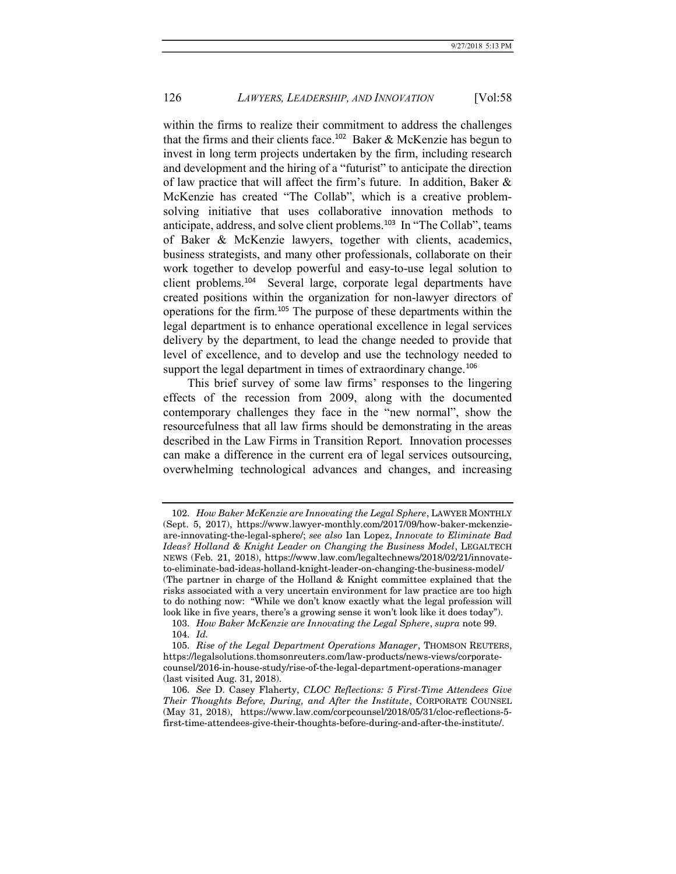within the firms to realize their commitment to address the challenges that the firms and their clients face.<sup>102</sup> Baker & McKenzie has begun to invest in long term projects undertaken by the firm, including research and development and the hiring of a "futurist" to anticipate the direction of law practice that will affect the firm's future. In addition, Baker & McKenzie has created "The Collab", which is a creative problemsolving initiative that uses collaborative innovation methods to anticipate, address, and solve client problems.<sup>103</sup> In "The Collab", teams of Baker & McKenzie lawyers, together with clients, academics, business strategists, and many other professionals, collaborate on their work together to develop powerful and easy-to-use legal solution to client problems.<sup>104</sup> Several large, corporate legal departments have created positions within the organization for non-lawyer directors of operations for the firm.<sup>105</sup> The purpose of these departments within the legal department is to enhance operational excellence in legal services delivery by the department, to lead the change needed to provide that level of excellence, and to develop and use the technology needed to support the legal department in times of extraordinary change.<sup>106</sup>

This brief survey of some law firms' responses to the lingering effects of the recession from 2009, along with the documented contemporary challenges they face in the "new normal", show the resourcefulness that all law firms should be demonstrating in the areas described in the Law Firms in Transition Report. Innovation processes can make a difference in the current era of legal services outsourcing, overwhelming technological advances and changes, and increasing

 <sup>102.</sup> How Baker McKenzie are Innovating the Legal Sphere, LAWYER MONTHLY (Sept. 5, 2017), https://www.lawyer-monthly.com/2017/09/how-baker-mckenzieare-innovating-the-legal-sphere/; see also Ian Lopez, Innovate to Eliminate Bad Ideas? Holland & Knight Leader on Changing the Business Model, LEGALTECH NEWS (Feb. 21, 2018), https://www.law.com/legaltechnews/2018/02/21/innovateto-eliminate-bad-ideas-holland-knight-leader-on-changing-the-business-model/ (The partner in charge of the Holland & Knight committee explained that the risks associated with a very uncertain environment for law practice are too high to do nothing now: "While we don't know exactly what the legal profession will look like in five years, there's a growing sense it won't look like it does today").

 <sup>103.</sup> How Baker McKenzie are Innovating the Legal Sphere, supra note 99. 104. Id.

 <sup>105.</sup> Rise of the Legal Department Operations Manager, THOMSON REUTERS, https://legalsolutions.thomsonreuters.com/law-products/news-views/corporatecounsel/2016-in-house-study/rise-of-the-legal-department-operations-manager (last visited Aug. 31, 2018).

 <sup>106.</sup> See D. Casey Flaherty, CLOC Reflections: 5 First-Time Attendees Give Their Thoughts Before, During, and After the Institute, CORPORATE COUNSEL (May 31, 2018), https://www.law.com/corpcounsel/2018/05/31/cloc-reflections-5 first-time-attendees-give-their-thoughts-before-during-and-after-the-institute/.